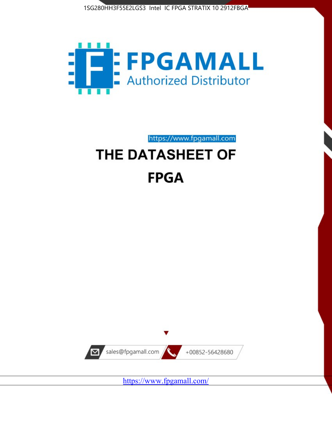



https://www.fpgamall.com

# THE DATASHEET OF **FPGA**



<https://www.fpgamall.com/>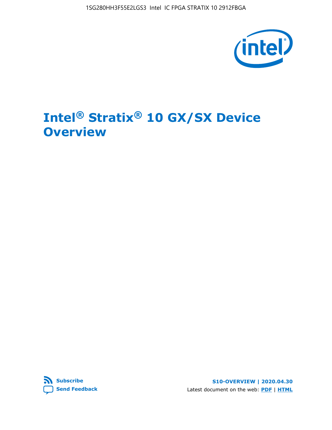1SG280HH3F55E2LGS3 Intel IC FPGA STRATIX 10 2912FBGA



# **Intel® Stratix® 10 GX/SX Device Overview**



**S10-OVERVIEW | 2020.04.30** Latest document on the web: **[PDF](https://www.intel.com/content/dam/www/programmable/us/en/pdfs/literature/hb/stratix-10/s10-overview.pdf)** | **[HTML](https://www.intel.com/content/www/us/en/programmable/documentation/joc1442261161666.html)**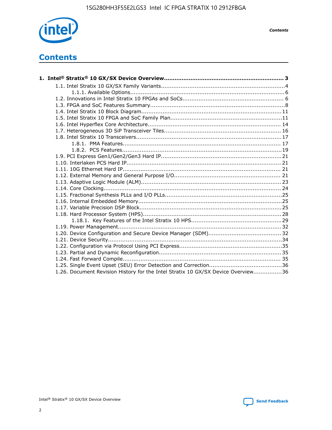

*Contents*

# **Contents**

| 1.26. Document Revision History for the Intel Stratix 10 GX/SX Device Overview36 |  |
|----------------------------------------------------------------------------------|--|

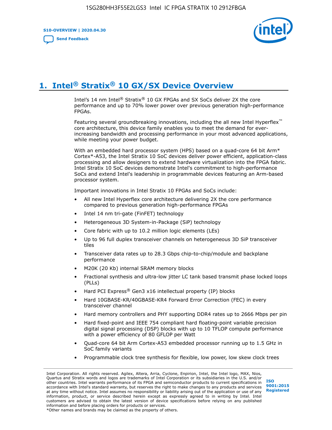**S10-OVERVIEW | 2020.04.30**

**[Send Feedback](mailto:FPGAtechdocfeedback@intel.com?subject=Feedback%20on%20Intel%20Stratix%2010%20GX/SX%20Device%20Overview%20(S10-OVERVIEW%202020.04.30)&body=We%20appreciate%20your%20feedback.%20In%20your%20comments,%20also%20specify%20the%20page%20number%20or%20paragraph.%20Thank%20you.)**



# **1. Intel® Stratix® 10 GX/SX Device Overview**

Intel's 14 nm Intel® Stratix® 10 GX FPGAs and SX SoCs deliver 2X the core performance and up to 70% lower power over previous generation high-performance FPGAs.

Featuring several groundbreaking innovations, including the all new Intel Hyperflex™ core architecture, this device family enables you to meet the demand for everincreasing bandwidth and processing performance in your most advanced applications, while meeting your power budget.

With an embedded hard processor system (HPS) based on a quad-core 64 bit Arm\* Cortex\*-A53, the Intel Stratix 10 SoC devices deliver power efficient, application-class processing and allow designers to extend hardware virtualization into the FPGA fabric. Intel Stratix 10 SoC devices demonstrate Intel's commitment to high-performance SoCs and extend Intel's leadership in programmable devices featuring an Arm-based processor system.

Important innovations in Intel Stratix 10 FPGAs and SoCs include:

- All new Intel Hyperflex core architecture delivering 2X the core performance compared to previous generation high-performance FPGAs
- Intel 14 nm tri-gate (FinFET) technology
- Heterogeneous 3D System-in-Package (SiP) technology
- Core fabric with up to 10.2 million logic elements (LEs)
- Up to 96 full duplex transceiver channels on heterogeneous 3D SiP transceiver tiles
- Transceiver data rates up to 28.3 Gbps chip-to-chip/module and backplane performance
- M20K (20 Kb) internal SRAM memory blocks
- Fractional synthesis and ultra-low jitter LC tank based transmit phase locked loops (PLLs)
- Hard PCI Express<sup>®</sup> Gen3 x16 intellectual property (IP) blocks
- Hard 10GBASE-KR/40GBASE-KR4 Forward Error Correction (FEC) in every transceiver channel
- Hard memory controllers and PHY supporting DDR4 rates up to 2666 Mbps per pin
- Hard fixed-point and IEEE 754 compliant hard floating-point variable precision digital signal processing (DSP) blocks with up to 10 TFLOP compute performance with a power efficiency of 80 GFLOP per Watt
- Quad-core 64 bit Arm Cortex-A53 embedded processor running up to 1.5 GHz in SoC family variants
- Programmable clock tree synthesis for flexible, low power, low skew clock trees

Intel Corporation. All rights reserved. Agilex, Altera, Arria, Cyclone, Enpirion, Intel, the Intel logo, MAX, Nios, Quartus and Stratix words and logos are trademarks of Intel Corporation or its subsidiaries in the U.S. and/or other countries. Intel warrants performance of its FPGA and semiconductor products to current specifications in accordance with Intel's standard warranty, but reserves the right to make changes to any products and services at any time without notice. Intel assumes no responsibility or liability arising out of the application or use of any information, product, or service described herein except as expressly agreed to in writing by Intel. Intel customers are advised to obtain the latest version of device specifications before relying on any published information and before placing orders for products or services. \*Other names and brands may be claimed as the property of others.

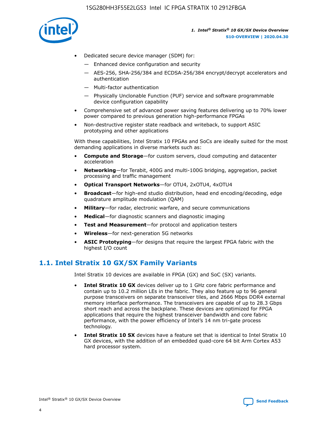

- Dedicated secure device manager (SDM) for:
	- Enhanced device configuration and security
	- AES-256, SHA-256/384 and ECDSA-256/384 encrypt/decrypt accelerators and authentication
	- Multi-factor authentication
	- Physically Unclonable Function (PUF) service and software programmable device configuration capability
- Comprehensive set of advanced power saving features delivering up to 70% lower power compared to previous generation high-performance FPGAs
- Non-destructive register state readback and writeback, to support ASIC prototyping and other applications

With these capabilities, Intel Stratix 10 FPGAs and SoCs are ideally suited for the most demanding applications in diverse markets such as:

- **Compute and Storage**—for custom servers, cloud computing and datacenter acceleration
- **Networking**—for Terabit, 400G and multi-100G bridging, aggregation, packet processing and traffic management
- **Optical Transport Networks**—for OTU4, 2xOTU4, 4xOTU4
- **Broadcast**—for high-end studio distribution, head end encoding/decoding, edge quadrature amplitude modulation (QAM)
- **Military**—for radar, electronic warfare, and secure communications
- **Medical**—for diagnostic scanners and diagnostic imaging
- **Test and Measurement**—for protocol and application testers
- **Wireless**—for next-generation 5G networks
- **ASIC Prototyping**—for designs that require the largest FPGA fabric with the highest I/O count

## **1.1. Intel Stratix 10 GX/SX Family Variants**

Intel Stratix 10 devices are available in FPGA (GX) and SoC (SX) variants.

- **Intel Stratix 10 GX** devices deliver up to 1 GHz core fabric performance and contain up to 10.2 million LEs in the fabric. They also feature up to 96 general purpose transceivers on separate transceiver tiles, and 2666 Mbps DDR4 external memory interface performance. The transceivers are capable of up to 28.3 Gbps short reach and across the backplane. These devices are optimized for FPGA applications that require the highest transceiver bandwidth and core fabric performance, with the power efficiency of Intel's 14 nm tri-gate process technology.
- **Intel Stratix 10 SX** devices have a feature set that is identical to Intel Stratix 10 GX devices, with the addition of an embedded quad-core 64 bit Arm Cortex A53 hard processor system.

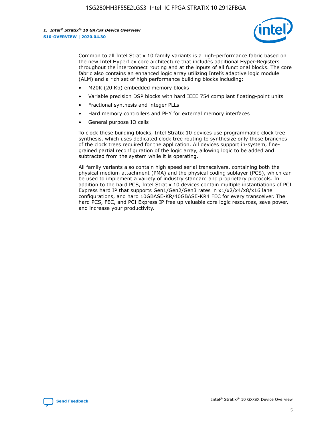

Common to all Intel Stratix 10 family variants is a high-performance fabric based on the new Intel Hyperflex core architecture that includes additional Hyper-Registers throughout the interconnect routing and at the inputs of all functional blocks. The core fabric also contains an enhanced logic array utilizing Intel's adaptive logic module (ALM) and a rich set of high performance building blocks including:

- M20K (20 Kb) embedded memory blocks
- Variable precision DSP blocks with hard IEEE 754 compliant floating-point units
- Fractional synthesis and integer PLLs
- Hard memory controllers and PHY for external memory interfaces
- General purpose IO cells

To clock these building blocks, Intel Stratix 10 devices use programmable clock tree synthesis, which uses dedicated clock tree routing to synthesize only those branches of the clock trees required for the application. All devices support in-system, finegrained partial reconfiguration of the logic array, allowing logic to be added and subtracted from the system while it is operating.

All family variants also contain high speed serial transceivers, containing both the physical medium attachment (PMA) and the physical coding sublayer (PCS), which can be used to implement a variety of industry standard and proprietary protocols. In addition to the hard PCS, Intel Stratix 10 devices contain multiple instantiations of PCI Express hard IP that supports Gen1/Gen2/Gen3 rates in x1/x2/x4/x8/x16 lane configurations, and hard 10GBASE-KR/40GBASE-KR4 FEC for every transceiver. The hard PCS, FEC, and PCI Express IP free up valuable core logic resources, save power, and increase your productivity.

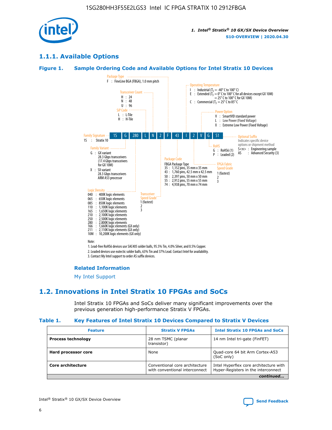

## **1.1.1. Available Options**

#### **Figure 1. Sample Ordering Code and Available Options for Intel Stratix 10 Devices**



3. Contact My Intel support to order AS suffix devices.

#### **Related Information**

[My Intel Support](https://www.intel.com/content/www/us/en/programmable/my-intel/mal-home.html)

## **1.2. Innovations in Intel Stratix 10 FPGAs and SoCs**

Intel Stratix 10 FPGAs and SoCs deliver many significant improvements over the previous generation high-performance Stratix V FPGAs.

#### **Table 1. Key Features of Intel Stratix 10 Devices Compared to Stratix V Devices**

| <b>Feature</b>            | <b>Stratix V FPGAs</b>                                                                                                                            | <b>Intel Stratix 10 FPGAs and SoCs</b>        |  |
|---------------------------|---------------------------------------------------------------------------------------------------------------------------------------------------|-----------------------------------------------|--|
| <b>Process technology</b> | 28 nm TSMC (planar<br>transistor)                                                                                                                 | 14 nm Intel tri-gate (FinFET)                 |  |
| Hard processor core       | None                                                                                                                                              | Quad-core 64 bit Arm Cortex-A53<br>(SoC only) |  |
| Core architecture         | Conventional core architecture<br>Intel Hyperflex core architecture with<br>Hyper-Registers in the interconnect<br>with conventional interconnect |                                               |  |
|                           |                                                                                                                                                   | continued                                     |  |

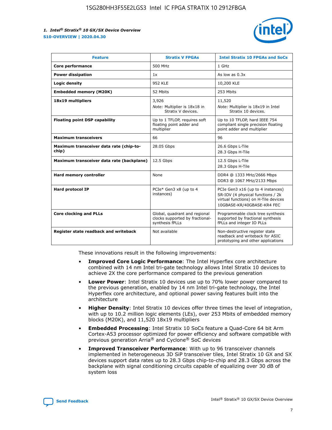

| <b>Feature</b>                                   | <b>Stratix V FPGAs</b>                                                              | <b>Intel Stratix 10 FPGAs and SoCs</b>                                                                                                       |
|--------------------------------------------------|-------------------------------------------------------------------------------------|----------------------------------------------------------------------------------------------------------------------------------------------|
| Core performance                                 | 500 MHz                                                                             | 1 GHz                                                                                                                                        |
| <b>Power dissipation</b>                         | 1x                                                                                  | As low as $0.3x$                                                                                                                             |
| Logic density                                    | <b>952 KLE</b>                                                                      | 10,200 KLE                                                                                                                                   |
| <b>Embedded memory (M20K)</b>                    | 52 Mbits                                                                            | 253 Mbits                                                                                                                                    |
| 18x19 multipliers                                | 3,926                                                                               | 11,520                                                                                                                                       |
|                                                  | Note: Multiplier is 18x18 in<br>Stratix V devices.                                  | Note: Multiplier is 18x19 in Intel<br>Stratix 10 devices.                                                                                    |
| Floating point DSP capability                    | Up to 1 TFLOP, requires soft<br>floating point adder and<br>multiplier              | Up to 10 TFLOP, hard IEEE 754<br>compliant single precision floating<br>point adder and multiplier                                           |
| <b>Maximum transceivers</b>                      | 66                                                                                  | 96                                                                                                                                           |
| Maximum transceiver data rate (chip-to-<br>chip) | 28.05 Gbps                                                                          | 26.6 Gbps L-Tile<br>28.3 Gbps H-Tile                                                                                                         |
| Maximum transceiver data rate (backplane)        | 12.5 Gbps                                                                           | 12.5 Gbps L-Tile<br>28.3 Gbps H-Tile                                                                                                         |
| Hard memory controller                           | None                                                                                | DDR4 @ 1333 MHz/2666 Mbps<br>DDR3 @ 1067 MHz/2133 Mbps                                                                                       |
| <b>Hard protocol IP</b>                          | PCIe* Gen3 x8 (up to 4<br>instances)                                                | PCIe Gen3 x16 (up to 4 instances)<br>SR-IOV (4 physical functions / 2k<br>virtual functions) on H-Tile devices<br>10GBASE-KR/40GBASE-KR4 FEC |
| <b>Core clocking and PLLs</b>                    | Global, quadrant and regional<br>clocks supported by fractional-<br>synthesis fPLLs | Programmable clock tree synthesis<br>supported by fractional synthesis<br>fPLLs and integer IO PLLs                                          |
| Register state readback and writeback            | Not available                                                                       | Non-destructive register state<br>readback and writeback for ASIC<br>prototyping and other applications                                      |

These innovations result in the following improvements:

- **Improved Core Logic Performance**: The Intel Hyperflex core architecture combined with 14 nm Intel tri-gate technology allows Intel Stratix 10 devices to achieve 2X the core performance compared to the previous generation
- **Lower Power**: Intel Stratix 10 devices use up to 70% lower power compared to the previous generation, enabled by 14 nm Intel tri-gate technology, the Intel Hyperflex core architecture, and optional power saving features built into the architecture
- **Higher Density**: Intel Stratix 10 devices offer three times the level of integration, with up to 10.2 million logic elements (LEs), over 253 Mbits of embedded memory blocks (M20K), and 11,520 18x19 multipliers
- **Embedded Processing**: Intel Stratix 10 SoCs feature a Quad-Core 64 bit Arm Cortex-A53 processor optimized for power efficiency and software compatible with previous generation Arria® and Cyclone® SoC devices
- **Improved Transceiver Performance**: With up to 96 transceiver channels implemented in heterogeneous 3D SiP transceiver tiles, Intel Stratix 10 GX and SX devices support data rates up to 28.3 Gbps chip-to-chip and 28.3 Gbps across the backplane with signal conditioning circuits capable of equalizing over 30 dB of system loss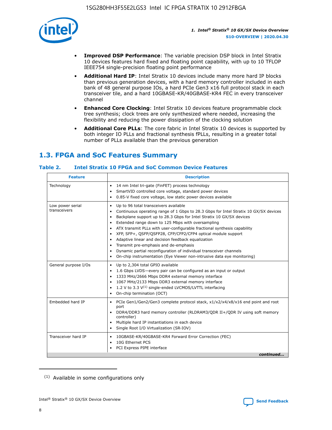

- **Improved DSP Performance**: The variable precision DSP block in Intel Stratix 10 devices features hard fixed and floating point capability, with up to 10 TFLOP IEEE754 single-precision floating point performance
- **Additional Hard IP**: Intel Stratix 10 devices include many more hard IP blocks than previous generation devices, with a hard memory controller included in each bank of 48 general purpose IOs, a hard PCIe Gen3 x16 full protocol stack in each transceiver tile, and a hard 10GBASE-KR/40GBASE-KR4 FEC in every transceiver channel
- **Enhanced Core Clocking**: Intel Stratix 10 devices feature programmable clock tree synthesis; clock trees are only synthesized where needed, increasing the flexibility and reducing the power dissipation of the clocking solution
- **Additional Core PLLs**: The core fabric in Intel Stratix 10 devices is supported by both integer IO PLLs and fractional synthesis fPLLs, resulting in a greater total number of PLLs available than the previous generation

# **1.3. FPGA and SoC Features Summary**

## **Table 2. Intel Stratix 10 FPGA and SoC Common Device Features**

| Technology<br>14 nm Intel tri-gate (FinFET) process technology<br>$\bullet$<br>SmartVID controlled core voltage, standard power devices<br>$\bullet$<br>0.85-V fixed core voltage, low static power devices available<br>$\bullet$<br>Up to 96 total transceivers available<br>Low power serial<br>$\bullet$<br>transceivers<br>Backplane support up to 28.3 Gbps for Intel Stratix 10 GX/SX devices<br>$\bullet$<br>Extended range down to 125 Mbps with oversampling<br>$\bullet$<br>ATX transmit PLLs with user-configurable fractional synthesis capability<br>$\bullet$<br>XFP, SFP+, QSFP/QSFP28, CFP/CFP2/CFP4 optical module support<br>$\bullet$<br>• Adaptive linear and decision feedback equalization<br>Transmit pre-emphasis and de-emphasis<br>Dynamic partial reconfiguration of individual transceiver channels<br>$\bullet$<br>On-chip instrumentation (Eye Viewer non-intrusive data eye monitoring)<br>$\bullet$<br>General purpose I/Os<br>Up to 2,304 total GPIO available<br>$\bullet$<br>1.6 Gbps LVDS-every pair can be configured as an input or output<br>$\bullet$<br>1333 MHz/2666 Mbps DDR4 external memory interface<br>1067 MHz/2133 Mbps DDR3 external memory interface<br>1.2 V to 3.3 V <sup>(1)</sup> single-ended LVCMOS/LVTTL interfacing<br>$\bullet$<br>On-chip termination (OCT)<br>$\bullet$<br>Embedded hard IP<br>PCIe Gen1/Gen2/Gen3 complete protocol stack, x1/x2/x4/x8/x16 end point and root<br>$\bullet$<br>port<br>DDR4/DDR3 hard memory controller (RLDRAM3/QDR II+/QDR IV using soft memory<br>controller)<br>Multiple hard IP instantiations in each device<br>Single Root I/O Virtualization (SR-IOV) | <b>Description</b><br><b>Feature</b> |                                                                                      |  |
|--------------------------------------------------------------------------------------------------------------------------------------------------------------------------------------------------------------------------------------------------------------------------------------------------------------------------------------------------------------------------------------------------------------------------------------------------------------------------------------------------------------------------------------------------------------------------------------------------------------------------------------------------------------------------------------------------------------------------------------------------------------------------------------------------------------------------------------------------------------------------------------------------------------------------------------------------------------------------------------------------------------------------------------------------------------------------------------------------------------------------------------------------------------------------------------------------------------------------------------------------------------------------------------------------------------------------------------------------------------------------------------------------------------------------------------------------------------------------------------------------------------------------------------------------------------------------------------------------------------------------------------------------------------|--------------------------------------|--------------------------------------------------------------------------------------|--|
|                                                                                                                                                                                                                                                                                                                                                                                                                                                                                                                                                                                                                                                                                                                                                                                                                                                                                                                                                                                                                                                                                                                                                                                                                                                                                                                                                                                                                                                                                                                                                                                                                                                              |                                      |                                                                                      |  |
|                                                                                                                                                                                                                                                                                                                                                                                                                                                                                                                                                                                                                                                                                                                                                                                                                                                                                                                                                                                                                                                                                                                                                                                                                                                                                                                                                                                                                                                                                                                                                                                                                                                              |                                      | Continuous operating range of 1 Gbps to 28.3 Gbps for Intel Stratix 10 GX/SX devices |  |
|                                                                                                                                                                                                                                                                                                                                                                                                                                                                                                                                                                                                                                                                                                                                                                                                                                                                                                                                                                                                                                                                                                                                                                                                                                                                                                                                                                                                                                                                                                                                                                                                                                                              |                                      |                                                                                      |  |
|                                                                                                                                                                                                                                                                                                                                                                                                                                                                                                                                                                                                                                                                                                                                                                                                                                                                                                                                                                                                                                                                                                                                                                                                                                                                                                                                                                                                                                                                                                                                                                                                                                                              |                                      |                                                                                      |  |
| Transceiver hard IP<br>10GBASE-KR/40GBASE-KR4 Forward Error Correction (FEC)<br>$\bullet$<br>10G Ethernet PCS<br>$\bullet$<br>PCI Express PIPE interface<br>$\bullet$                                                                                                                                                                                                                                                                                                                                                                                                                                                                                                                                                                                                                                                                                                                                                                                                                                                                                                                                                                                                                                                                                                                                                                                                                                                                                                                                                                                                                                                                                        |                                      | continued                                                                            |  |

<sup>(1)</sup> Available in some configurations only

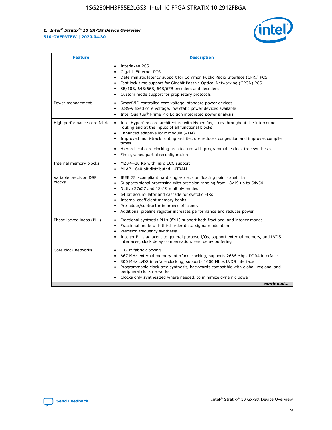

| <b>Feature</b>                   | <b>Description</b>                                                                                                                                                                                                                                                                                                                                                                                                                                                    |  |  |  |
|----------------------------------|-----------------------------------------------------------------------------------------------------------------------------------------------------------------------------------------------------------------------------------------------------------------------------------------------------------------------------------------------------------------------------------------------------------------------------------------------------------------------|--|--|--|
|                                  | Interlaken PCS<br>$\bullet$<br>Gigabit Ethernet PCS<br>$\bullet$<br>Deterministic latency support for Common Public Radio Interface (CPRI) PCS<br>$\bullet$<br>Fast lock-time support for Gigabit Passive Optical Networking (GPON) PCS<br>$\bullet$<br>8B/10B, 64B/66B, 64B/67B encoders and decoders<br>$\bullet$<br>Custom mode support for proprietary protocols<br>$\bullet$                                                                                     |  |  |  |
| Power management                 | SmartVID controlled core voltage, standard power devices<br>$\bullet$<br>0.85-V fixed core voltage, low static power devices available<br>$\bullet$<br>Intel Quartus <sup>®</sup> Prime Pro Edition integrated power analysis<br>$\bullet$                                                                                                                                                                                                                            |  |  |  |
| High performance core fabric     | Intel Hyperflex core architecture with Hyper-Registers throughout the interconnect<br>$\bullet$<br>routing and at the inputs of all functional blocks<br>Enhanced adaptive logic module (ALM)<br>$\bullet$<br>Improved multi-track routing architecture reduces congestion and improves compile<br>times<br>Hierarchical core clocking architecture with programmable clock tree synthesis<br>Fine-grained partial reconfiguration                                    |  |  |  |
| Internal memory blocks           | M20K-20 Kb with hard ECC support<br>٠<br>MLAB-640 bit distributed LUTRAM<br>$\bullet$                                                                                                                                                                                                                                                                                                                                                                                 |  |  |  |
| Variable precision DSP<br>blocks | IEEE 754-compliant hard single-precision floating point capability<br>$\bullet$<br>Supports signal processing with precision ranging from 18x19 up to 54x54<br>$\bullet$<br>Native 27x27 and 18x19 multiply modes<br>$\bullet$<br>64 bit accumulator and cascade for systolic FIRs<br>Internal coefficient memory banks<br>Pre-adder/subtractor improves efficiency<br>$\bullet$<br>Additional pipeline register increases performance and reduces power<br>$\bullet$ |  |  |  |
| Phase locked loops (PLL)         | Fractional synthesis PLLs (fPLL) support both fractional and integer modes<br>$\bullet$<br>Fractional mode with third-order delta-sigma modulation<br>Precision frequency synthesis<br>$\bullet$<br>Integer PLLs adjacent to general purpose I/Os, support external memory, and LVDS<br>$\bullet$<br>interfaces, clock delay compensation, zero delay buffering                                                                                                       |  |  |  |
| Core clock networks              | 1 GHz fabric clocking<br>$\bullet$<br>667 MHz external memory interface clocking, supports 2666 Mbps DDR4 interface<br>$\bullet$<br>800 MHz LVDS interface clocking, supports 1600 Mbps LVDS interface<br>$\bullet$<br>Programmable clock tree synthesis, backwards compatible with global, regional and<br>$\bullet$<br>peripheral clock networks<br>Clocks only synthesized where needed, to minimize dynamic power<br>continued                                    |  |  |  |

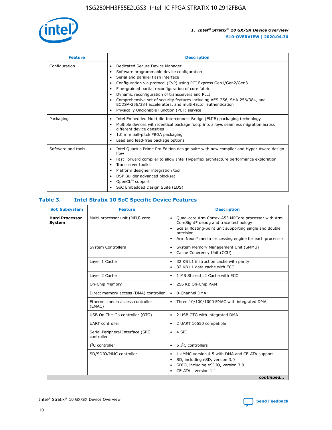

| <b>Feature</b>     | <b>Description</b>                                                                                                                                                                                                                                                                                                                                                                                                                                                                                                                         |  |  |  |
|--------------------|--------------------------------------------------------------------------------------------------------------------------------------------------------------------------------------------------------------------------------------------------------------------------------------------------------------------------------------------------------------------------------------------------------------------------------------------------------------------------------------------------------------------------------------------|--|--|--|
| Configuration      | Dedicated Secure Device Manager<br>٠<br>Software programmable device configuration<br>Serial and parallel flash interface<br>Configuration via protocol (CvP) using PCI Express Gen1/Gen2/Gen3<br>٠<br>Fine-grained partial reconfiguration of core fabric<br>٠<br>Dynamic reconfiguration of transceivers and PLLs<br>$\bullet$<br>Comprehensive set of security features including AES-256, SHA-256/384, and<br>ECDSA-256/384 accelerators, and multi-factor authentication<br>Physically Unclonable Function (PUF) service<br>$\bullet$ |  |  |  |
| Packaging          | Intel Embedded Multi-die Interconnect Bridge (EMIB) packaging technology<br>٠<br>Multiple devices with identical package footprints allows seamless migration across<br>$\bullet$<br>different device densities<br>1.0 mm ball-pitch FBGA packaging<br>$\bullet$<br>Lead and lead-free package options                                                                                                                                                                                                                                     |  |  |  |
| Software and tools | Intel Quartus Prime Pro Edition design suite with new compiler and Hyper-Aware design<br>$\bullet$<br>flow<br>Fast Forward compiler to allow Intel Hyperflex architecture performance exploration<br>$\bullet$<br>Transceiver toolkit<br>$\bullet$<br>Platform designer integration tool<br>DSP Builder advanced blockset<br>OpenCL <sup>™</sup> support<br>SoC Embedded Design Suite (EDS)                                                                                                                                                |  |  |  |

## **Table 3. Intel Stratix 10 SoC Specific Device Features**

| <b>Hard Processor</b><br>System | Multi-processor unit (MPU) core<br><b>System Controllers</b> | Quad-core Arm Cortex-A53 MPCore processor with Arm<br>$\bullet$<br>CoreSight* debug and trace technology<br>Scalar floating-point unit supporting single and double<br>$\bullet$<br>precision<br>Arm Neon* media processing engine for each processor<br>$\bullet$<br>System Memory Management Unit (SMMU)<br>٠<br>Cache Coherency Unit (CCU)<br>$\bullet$ |
|---------------------------------|--------------------------------------------------------------|------------------------------------------------------------------------------------------------------------------------------------------------------------------------------------------------------------------------------------------------------------------------------------------------------------------------------------------------------------|
|                                 |                                                              |                                                                                                                                                                                                                                                                                                                                                            |
|                                 |                                                              |                                                                                                                                                                                                                                                                                                                                                            |
|                                 | Layer 1 Cache                                                | 32 KB L1 instruction cache with parity<br>$\bullet$<br>32 KB L1 data cache with ECC<br>$\bullet$                                                                                                                                                                                                                                                           |
|                                 | Layer 2 Cache                                                | 1 MB Shared L2 Cache with ECC<br>$\bullet$                                                                                                                                                                                                                                                                                                                 |
|                                 | On-Chip Memory                                               | 256 KB On-Chip RAM<br>٠                                                                                                                                                                                                                                                                                                                                    |
|                                 | Direct memory access (DMA) controller                        | 8-Channel DMA<br>$\bullet$                                                                                                                                                                                                                                                                                                                                 |
| (EMAC)                          | Ethernet media access controller                             | Three 10/100/1000 EMAC with integrated DMA<br>$\bullet$                                                                                                                                                                                                                                                                                                    |
|                                 | USB On-The-Go controller (OTG)                               | 2 USB OTG with integrated DMA<br>$\bullet$                                                                                                                                                                                                                                                                                                                 |
|                                 | <b>UART</b> controller                                       | 2 UART 16550 compatible<br>$\bullet$                                                                                                                                                                                                                                                                                                                       |
|                                 | Serial Peripheral Interface (SPI)<br>controller              | $\bullet$ 4 SPI                                                                                                                                                                                                                                                                                                                                            |
|                                 | $I2C$ controller                                             | 5 I <sup>2</sup> C controllers<br>$\bullet$                                                                                                                                                                                                                                                                                                                |
|                                 | SD/SDIO/MMC controller                                       | 1 eMMC version 4.5 with DMA and CE-ATA support<br>$\bullet$<br>SD, including eSD, version 3.0<br>$\bullet$<br>SDIO, including eSDIO, version 3.0<br>$\bullet$<br>CE-ATA - version 1.1<br>continued                                                                                                                                                         |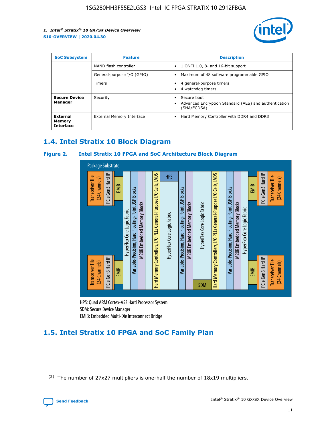

| <b>SoC Subsystem</b>                   | <b>Feature</b>             | <b>Description</b>                                                                                    |  |  |
|----------------------------------------|----------------------------|-------------------------------------------------------------------------------------------------------|--|--|
|                                        | NAND flash controller      | 1 ONFI 1.0, 8- and 16-bit support<br>$\bullet$                                                        |  |  |
|                                        | General-purpose I/O (GPIO) | Maximum of 48 software programmable GPIO<br>$\bullet$                                                 |  |  |
|                                        | Timers                     | 4 general-purpose timers<br>4 watchdog timers<br>٠                                                    |  |  |
| <b>Secure Device</b><br>Manager        | Security                   | Secure boot<br>$\bullet$<br>Advanced Encryption Standard (AES) and authentication<br>٠<br>(SHA/ECDSA) |  |  |
| External<br>Memory<br><b>Interface</b> | External Memory Interface  | Hard Memory Controller with DDR4 and DDR3<br>$\bullet$                                                |  |  |

## **1.4. Intel Stratix 10 Block Diagram**

## **Figure 2. Intel Stratix 10 FPGA and SoC Architecture Block Diagram**



HPS: Quad ARM Cortex-A53 Hard Processor System SDM: Secure Device Manager

# **1.5. Intel Stratix 10 FPGA and SoC Family Plan**

<sup>(2)</sup> The number of 27x27 multipliers is one-half the number of 18x19 multipliers.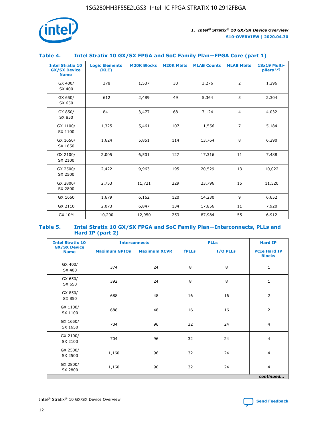

## **Table 4. Intel Stratix 10 GX/SX FPGA and SoC Family Plan—FPGA Core (part 1)**

| <b>Intel Stratix 10</b><br><b>GX/SX Device</b><br><b>Name</b> | <b>Logic Elements</b><br>(KLE) | <b>M20K Blocks</b> | <b>M20K Mbits</b> | <b>MLAB Counts</b> | <b>MLAB Mbits</b> | 18x19 Multi-<br>pliers <sup>(2)</sup> |
|---------------------------------------------------------------|--------------------------------|--------------------|-------------------|--------------------|-------------------|---------------------------------------|
| GX 400/<br>SX 400                                             | 378                            | 1,537              | 30                | 3,276              | $\overline{2}$    | 1,296                                 |
| GX 650/<br>SX 650                                             | 612                            | 2,489              | 49                | 5,364              | 3                 | 2,304                                 |
| GX 850/<br>SX 850                                             | 841                            | 3,477              | 68                | 7,124              | $\overline{4}$    | 4,032                                 |
| GX 1100/<br>SX 1100                                           | 1,325                          | 5,461              | 107               | 11,556             | $\overline{7}$    | 5,184                                 |
| GX 1650/<br>SX 1650                                           | 1,624                          | 5,851              | 114               | 13,764             | 8                 | 6,290                                 |
| GX 2100/<br>SX 2100                                           | 2,005                          | 6,501              | 127               | 17,316             | 11                | 7,488                                 |
| GX 2500/<br>SX 2500                                           | 2,422                          | 9,963              | 195               | 20,529             | 13                | 10,022                                |
| GX 2800/<br>SX 2800                                           | 2,753                          | 11,721             | 229               | 23,796             | 15                | 11,520                                |
| GX 1660                                                       | 1,679                          | 6,162              | 120               | 14,230             | 9                 | 6,652                                 |
| GX 2110                                                       | 2,073                          | 6,847              | 134               | 17,856             | 11                | 7,920                                 |
| <b>GX 10M</b>                                                 | 10,200                         | 12,950             | 253               | 87,984             | 55                | 6,912                                 |

#### **Table 5. Intel Stratix 10 GX/SX FPGA and SoC Family Plan—Interconnects, PLLs and Hard IP (part 2)**

| <b>Intel Stratix 10</b>            | <b>PLLs</b><br><b>Interconnects</b> |                     |              | <b>Hard IP</b> |                                      |
|------------------------------------|-------------------------------------|---------------------|--------------|----------------|--------------------------------------|
| <b>GX/SX Device</b><br><b>Name</b> | <b>Maximum GPIOs</b>                | <b>Maximum XCVR</b> | <b>fPLLs</b> | I/O PLLs       | <b>PCIe Hard IP</b><br><b>Blocks</b> |
| GX 400/<br>SX 400                  | 374                                 | 24                  | 8            | 8              | $\mathbf{1}$                         |
| GX 650/<br>SX 650                  | 392                                 | 24                  | 8            | 8              | $\mathbf{1}$                         |
| GX 850/<br>SX 850                  | 688                                 | 48                  | 16           | 16             | 2                                    |
| GX 1100/<br>SX 1100                | 688                                 | 48                  | 16           | 16             | $\overline{2}$                       |
| GX 1650/<br>SX 1650                | 704                                 | 96                  | 32           | 24             | $\overline{4}$                       |
| GX 2100/<br>SX 2100                | 704                                 | 96                  | 32           | 24             | $\overline{4}$                       |
| GX 2500/<br>SX 2500                | 1,160                               | 96                  | 32           | 24             | $\overline{4}$                       |
| GX 2800/<br>SX 2800                | 1,160                               | 96                  | 32           | 24             | $\overline{4}$                       |
|                                    |                                     |                     |              |                | continued                            |

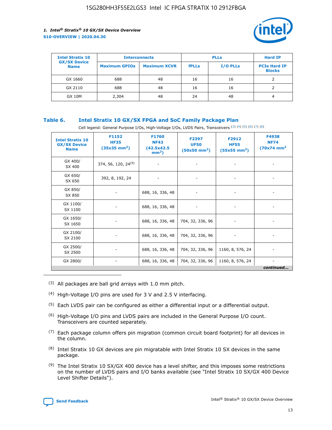

| <b>Intel Stratix 10</b>            |                      | <b>Interconnects</b> |              | <b>PLLs</b>     | <b>Hard IP</b>                       |
|------------------------------------|----------------------|----------------------|--------------|-----------------|--------------------------------------|
| <b>GX/SX Device</b><br><b>Name</b> | <b>Maximum GPIOs</b> | <b>Maximum XCVR</b>  | <b>fPLLs</b> | <b>I/O PLLs</b> | <b>PCIe Hard IP</b><br><b>Blocks</b> |
| GX 1660                            | 688                  | 48                   | 16           | 16              |                                      |
| GX 2110                            | 688                  | 48                   | 16           | 16              |                                      |
| <b>GX 10M</b>                      | 2,304                | 48                   | 24           | 48              | 4                                    |

## **Table 6. Intel Stratix 10 GX/SX FPGA and SoC Family Package Plan**

Cell legend: General Purpose I/Os, High-Voltage I/Os, LVDS Pairs, Transceivers (3) (4) (5) (6) (7) (8)

| <b>Intel Stratix 10</b><br><b>GX/SX Device</b><br><b>Name</b> | F1152<br><b>HF35</b><br>$(35x35 \text{ mm}^2)$ | <b>F1760</b><br><b>NF43</b><br>(42.5x42.5<br>$mm2$ ) | F2397<br><b>UF50</b><br>$(50x50$ mm <sup>2</sup> ) | F2912<br><b>HF55</b><br>$(55x55 \text{ mm}^2)$ | F4938<br><b>NF74</b><br>$(70x74)$ mm <sup>2</sup> |
|---------------------------------------------------------------|------------------------------------------------|------------------------------------------------------|----------------------------------------------------|------------------------------------------------|---------------------------------------------------|
| GX 400/<br>SX 400                                             | 374, 56, 120, 24 <sup>(9)</sup>                | $\overline{\phantom{a}}$                             | $\overline{\phantom{a}}$                           |                                                |                                                   |
| GX 650/<br>SX 650                                             | 392, 8, 192, 24                                | ٠                                                    | $\overline{\phantom{a}}$                           |                                                |                                                   |
| GX 850/<br>SX 850                                             |                                                | 688, 16, 336, 48                                     |                                                    |                                                |                                                   |
| GX 1100/<br>SX 1100                                           |                                                | 688, 16, 336, 48                                     |                                                    |                                                |                                                   |
| GX 1650/<br>SX 1650                                           |                                                | 688, 16, 336, 48                                     | 704, 32, 336, 96                                   |                                                |                                                   |
| GX 2100/<br>SX 2100                                           |                                                | 688, 16, 336, 48                                     | 704, 32, 336, 96                                   | -                                              | ۰                                                 |
| GX 2500/<br>SX 2500                                           |                                                | 688, 16, 336, 48                                     | 704, 32, 336, 96                                   | 1160, 8, 576, 24                               |                                                   |
| GX 2800/                                                      | $\overline{\phantom{a}}$                       | 688, 16, 336, 48                                     | 704, 32, 336, 96                                   | 1160, 8, 576, 24                               | ٠<br>continued                                    |

- (3) All packages are ball grid arrays with 1.0 mm pitch.
- (4) High-Voltage I/O pins are used for 3 V and 2.5 V interfacing.
- $(5)$  Each LVDS pair can be configured as either a differential input or a differential output.
- (6) High-Voltage I/O pins and LVDS pairs are included in the General Purpose I/O count. Transceivers are counted separately.
- $(7)$  Each package column offers pin migration (common circuit board footprint) for all devices in the column.
- $(8)$  Intel Stratix 10 GX devices are pin migratable with Intel Stratix 10 SX devices in the same package.
- $(9)$  The Intel Stratix 10 SX/GX 400 device has a level shifter, and this imposes some restrictions on the number of LVDS pairs and I/O banks available (see "Intel Stratix 10 SX/GX 400 Device Level Shifter Details").

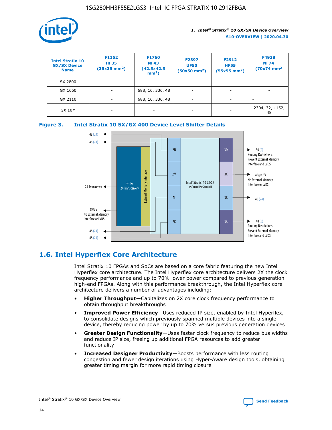

| <b>Intel Stratix 10</b><br><b>GX/SX Device</b><br><b>Name</b> | F1152<br><b>HF35</b><br>$(35x35)$ mm <sup>2</sup> ) | <b>F1760</b><br><b>NF43</b><br>(42.5x42.5<br>$mm2$ ) | F2397<br><b>UF50</b><br>$(50x50 \text{ mm}^2)$ | F2912<br><b>HF55</b><br>$(55x55$ mm <sup>2</sup> ) | F4938<br><b>NF74</b><br>$(70x74)$ mm <sup>2</sup> |
|---------------------------------------------------------------|-----------------------------------------------------|------------------------------------------------------|------------------------------------------------|----------------------------------------------------|---------------------------------------------------|
| SX 2800                                                       |                                                     |                                                      |                                                |                                                    |                                                   |
| GX 1660                                                       | ٠                                                   | 688, 16, 336, 48                                     | ٠                                              |                                                    |                                                   |
| GX 2110                                                       | -                                                   | 688, 16, 336, 48                                     | $\overline{\phantom{a}}$                       |                                                    |                                                   |
| <b>GX 10M</b>                                                 | ۰                                                   |                                                      |                                                |                                                    | 2304, 32, 1152,<br>48                             |





## **1.6. Intel Hyperflex Core Architecture**

Intel Stratix 10 FPGAs and SoCs are based on a core fabric featuring the new Intel Hyperflex core architecture. The Intel Hyperflex core architecture delivers 2X the clock frequency performance and up to 70% lower power compared to previous generation high-end FPGAs. Along with this performance breakthrough, the Intel Hyperflex core architecture delivers a number of advantages including:

- **Higher Throughput**—Capitalizes on 2X core clock frequency performance to obtain throughput breakthroughs
- **Improved Power Efficiency**—Uses reduced IP size, enabled by Intel Hyperflex, to consolidate designs which previously spanned multiple devices into a single device, thereby reducing power by up to 70% versus previous generation devices
- **Greater Design Functionality**—Uses faster clock frequency to reduce bus widths and reduce IP size, freeing up additional FPGA resources to add greater functionality
- **Increased Designer Productivity**—Boosts performance with less routing congestion and fewer design iterations using Hyper-Aware design tools, obtaining greater timing margin for more rapid timing closure

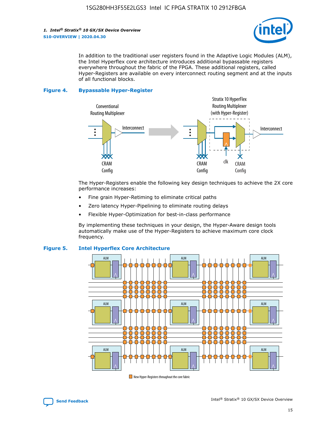

In addition to the traditional user registers found in the Adaptive Logic Modules (ALM), the Intel Hyperflex core architecture introduces additional bypassable registers everywhere throughout the fabric of the FPGA. These additional registers, called Hyper-Registers are available on every interconnect routing segment and at the inputs of all functional blocks.

#### **Figure 4. Bypassable Hyper-Register**



The Hyper-Registers enable the following key design techniques to achieve the 2X core performance increases:

- Fine grain Hyper-Retiming to eliminate critical paths
- Zero latency Hyper-Pipelining to eliminate routing delays
- Flexible Hyper-Optimization for best-in-class performance

By implementing these techniques in your design, the Hyper-Aware design tools automatically make use of the Hyper-Registers to achieve maximum core clock frequency.



## **Figure 5. Intel Hyperflex Core Architecture**

New Hyper-Registers throughout the core fabric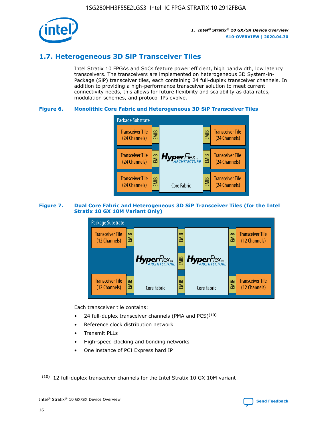

## **1.7. Heterogeneous 3D SiP Transceiver Tiles**

Intel Stratix 10 FPGAs and SoCs feature power efficient, high bandwidth, low latency transceivers. The transceivers are implemented on heterogeneous 3D System-in-Package (SiP) transceiver tiles, each containing 24 full-duplex transceiver channels. In addition to providing a high-performance transceiver solution to meet current connectivity needs, this allows for future flexibility and scalability as data rates, modulation schemes, and protocol IPs evolve.

## **Figure 6. Monolithic Core Fabric and Heterogeneous 3D SiP Transceiver Tiles**



## **Figure 7. Dual Core Fabric and Heterogeneous 3D SiP Transceiver Tiles (for the Intel Stratix 10 GX 10M Variant Only)**



Each transceiver tile contains:

- 24 full-duplex transceiver channels (PMA and PCS) $(10)$
- Reference clock distribution network
- Transmit PLLs
- High-speed clocking and bonding networks
- One instance of PCI Express hard IP

 $(10)$  12 full-duplex transceiver channels for the Intel Stratix 10 GX 10M variant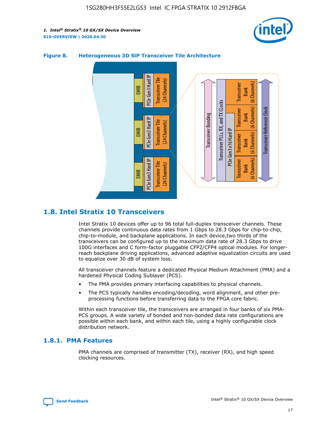



## **Figure 8. Heterogeneous 3D SiP Transceiver Tile Architecture**

## **1.8. Intel Stratix 10 Transceivers**

Intel Stratix 10 devices offer up to 96 total full-duplex transceiver channels. These channels provide continuous data rates from 1 Gbps to 28.3 Gbps for chip-to-chip, chip-to-module, and backplane applications. In each device,two thirds of the transceivers can be configured up to the maximum data rate of 28.3 Gbps to drive 100G interfaces and C form-factor pluggable CFP2/CFP4 optical modules. For longerreach backplane driving applications, advanced adaptive equalization circuits are used to equalize over 30 dB of system loss.

All transceiver channels feature a dedicated Physical Medium Attachment (PMA) and a hardened Physical Coding Sublayer (PCS).

- The PMA provides primary interfacing capabilities to physical channels.
- The PCS typically handles encoding/decoding, word alignment, and other preprocessing functions before transferring data to the FPGA core fabric.

Within each transceiver tile, the transceivers are arranged in four banks of six PMA-PCS groups. A wide variety of bonded and non-bonded data rate configurations are possible within each bank, and within each tile, using a highly configurable clock distribution network.

## **1.8.1. PMA Features**

PMA channels are comprised of transmitter (TX), receiver (RX), and high speed clocking resources.

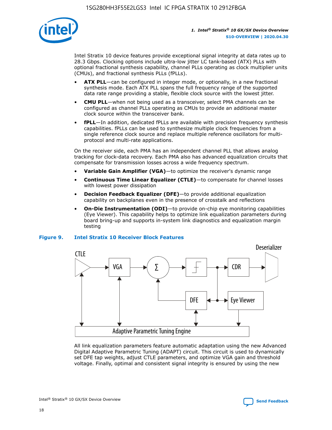

Intel Stratix 10 device features provide exceptional signal integrity at data rates up to 28.3 Gbps. Clocking options include ultra-low jitter LC tank-based (ATX) PLLs with optional fractional synthesis capability, channel PLLs operating as clock multiplier units (CMUs), and fractional synthesis PLLs (fPLLs).

- **ATX PLL**—can be configured in integer mode, or optionally, in a new fractional synthesis mode. Each ATX PLL spans the full frequency range of the supported data rate range providing a stable, flexible clock source with the lowest jitter.
- **CMU PLL**—when not being used as a transceiver, select PMA channels can be configured as channel PLLs operating as CMUs to provide an additional master clock source within the transceiver bank.
- **fPLL**—In addition, dedicated fPLLs are available with precision frequency synthesis capabilities. fPLLs can be used to synthesize multiple clock frequencies from a single reference clock source and replace multiple reference oscillators for multiprotocol and multi-rate applications.

On the receiver side, each PMA has an independent channel PLL that allows analog tracking for clock-data recovery. Each PMA also has advanced equalization circuits that compensate for transmission losses across a wide frequency spectrum.

- **Variable Gain Amplifier (VGA)**—to optimize the receiver's dynamic range
- **Continuous Time Linear Equalizer (CTLE)**—to compensate for channel losses with lowest power dissipation
- **Decision Feedback Equalizer (DFE)**—to provide additional equalization capability on backplanes even in the presence of crosstalk and reflections
- **On-Die Instrumentation (ODI)**—to provide on-chip eye monitoring capabilities (Eye Viewer). This capability helps to optimize link equalization parameters during board bring-up and supports in-system link diagnostics and equalization margin testing

#### **Figure 9. Intel Stratix 10 Receiver Block Features**



All link equalization parameters feature automatic adaptation using the new Advanced Digital Adaptive Parametric Tuning (ADAPT) circuit. This circuit is used to dynamically set DFE tap weights, adjust CTLE parameters, and optimize VGA gain and threshold voltage. Finally, optimal and consistent signal integrity is ensured by using the new

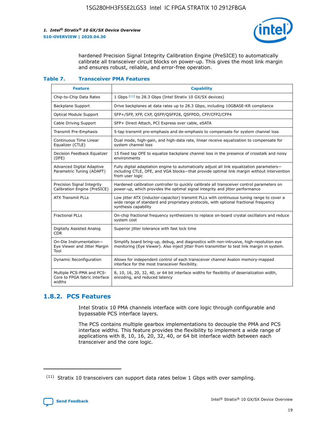

hardened Precision Signal Integrity Calibration Engine (PreSICE) to automatically calibrate all transceiver circuit blocks on power-up. This gives the most link margin and ensures robust, reliable, and error-free operation.

#### **Table 7. Transceiver PMA Features**

| <b>Feature</b>                                                       | <b>Capability</b>                                                                                                                                                                                         |
|----------------------------------------------------------------------|-----------------------------------------------------------------------------------------------------------------------------------------------------------------------------------------------------------|
| Chip-to-Chip Data Rates                                              | 1 Gbps (11) to 28.3 Gbps (Intel Stratix 10 GX/SX devices)                                                                                                                                                 |
| <b>Backplane Support</b>                                             | Drive backplanes at data rates up to 28.3 Gbps, including 10GBASE-KR compliance                                                                                                                           |
| Optical Module Support                                               | SFP+/SFP, XFP, CXP, QSFP/QSFP28, QSFPDD, CFP/CFP2/CFP4                                                                                                                                                    |
| Cable Driving Support                                                | SFP+ Direct Attach, PCI Express over cable, eSATA                                                                                                                                                         |
| <b>Transmit Pre-Emphasis</b>                                         | 5-tap transmit pre-emphasis and de-emphasis to compensate for system channel loss                                                                                                                         |
| Continuous Time Linear<br>Equalizer (CTLE)                           | Dual mode, high-gain, and high-data rate, linear receive equalization to compensate for<br>system channel loss                                                                                            |
| Decision Feedback Equalizer<br>(DFE)                                 | 15 fixed tap DFE to equalize backplane channel loss in the presence of crosstalk and noisy<br>environments                                                                                                |
| Advanced Digital Adaptive<br>Parametric Tuning (ADAPT)               | Fully digital adaptation engine to automatically adjust all link equalization parameters-<br>including CTLE, DFE, and VGA blocks-that provide optimal link margin without intervention<br>from user logic |
| Precision Signal Integrity<br>Calibration Engine (PreSICE)           | Hardened calibration controller to quickly calibrate all transceiver control parameters on<br>power-up, which provides the optimal signal integrity and jitter performance                                |
| <b>ATX Transmit PLLs</b>                                             | Low jitter ATX (inductor-capacitor) transmit PLLs with continuous tuning range to cover a<br>wide range of standard and proprietary protocols, with optional fractional frequency<br>synthesis capability |
| <b>Fractional PLLs</b>                                               | On-chip fractional frequency synthesizers to replace on-board crystal oscillators and reduce<br>system cost                                                                                               |
| Digitally Assisted Analog<br><b>CDR</b>                              | Superior jitter tolerance with fast lock time                                                                                                                                                             |
| On-Die Instrumentation-<br>Eye Viewer and Jitter Margin<br>Tool      | Simplify board bring-up, debug, and diagnostics with non-intrusive, high-resolution eye<br>monitoring (Eye Viewer). Also inject jitter from transmitter to test link margin in system.                    |
| Dynamic Reconfiguration                                              | Allows for independent control of each transceiver channel Avalon memory-mapped<br>interface for the most transceiver flexibility.                                                                        |
| Multiple PCS-PMA and PCS-<br>Core to FPGA fabric interface<br>widths | 8, 10, 16, 20, 32, 40, or 64 bit interface widths for flexibility of deserialization width,<br>encoding, and reduced latency                                                                              |

## **1.8.2. PCS Features**

Intel Stratix 10 PMA channels interface with core logic through configurable and bypassable PCS interface layers.

The PCS contains multiple gearbox implementations to decouple the PMA and PCS interface widths. This feature provides the flexibility to implement a wide range of applications with 8, 10, 16, 20, 32, 40, or 64 bit interface width between each transceiver and the core logic.

 $(11)$  Stratix 10 transceivers can support data rates below 1 Gbps with over sampling.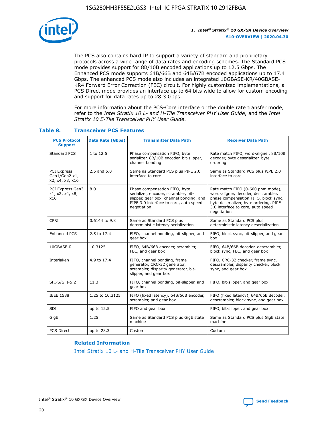

The PCS also contains hard IP to support a variety of standard and proprietary protocols across a wide range of data rates and encoding schemes. The Standard PCS mode provides support for 8B/10B encoded applications up to 12.5 Gbps. The Enhanced PCS mode supports 64B/66B and 64B/67B encoded applications up to 17.4 Gbps. The enhanced PCS mode also includes an integrated 10GBASE-KR/40GBASE-KR4 Forward Error Correction (FEC) circuit. For highly customized implementations, a PCS Direct mode provides an interface up to 64 bits wide to allow for custom encoding and support for data rates up to 28.3 Gbps.

For more information about the PCS-Core interface or the double rate transfer mode, refer to the *Intel Stratix 10 L- and H-Tile Transceiver PHY User Guide*, and the *Intel Stratix 10 E-Tile Transceiver PHY User Guide*.

| <b>PCS Protocol</b><br><b>Support</b>                  | <b>Data Rate (Gbps)</b> | <b>Transmitter Data Path</b>                                                                                                                                              | <b>Receiver Data Path</b>                                                                                                                                                                                      |
|--------------------------------------------------------|-------------------------|---------------------------------------------------------------------------------------------------------------------------------------------------------------------------|----------------------------------------------------------------------------------------------------------------------------------------------------------------------------------------------------------------|
| Standard PCS                                           | 1 to 12.5               | Phase compensation FIFO, byte<br>serializer, 8B/10B encoder, bit-slipper,<br>channel bonding                                                                              | Rate match FIFO, word-aligner, 8B/10B<br>decoder, byte deserializer, byte<br>ordering                                                                                                                          |
| <b>PCI Express</b><br>Gen1/Gen2 x1,<br>x2, x4, x8, x16 | 2.5 and 5.0             | Same as Standard PCS plus PIPE 2.0<br>interface to core                                                                                                                   | Same as Standard PCS plus PIPE 2.0<br>interface to core                                                                                                                                                        |
| PCI Express Gen3<br>x1, x2, x4, x8,<br>x16             | 8.0                     | Phase compensation FIFO, byte<br>serializer, encoder, scrambler, bit-<br>slipper, gear box, channel bonding, and<br>PIPE 3.0 interface to core, auto speed<br>negotiation | Rate match FIFO (0-600 ppm mode),<br>word-aligner, decoder, descrambler,<br>phase compensation FIFO, block sync,<br>byte deserializer, byte ordering, PIPE<br>3.0 interface to core, auto speed<br>negotiation |
| CPRI                                                   | 0.6144 to 9.8           | Same as Standard PCS plus<br>deterministic latency serialization                                                                                                          | Same as Standard PCS plus<br>deterministic latency deserialization                                                                                                                                             |
| <b>Enhanced PCS</b>                                    | 2.5 to 17.4             | FIFO, channel bonding, bit-slipper, and<br>gear box                                                                                                                       | FIFO, block sync, bit-slipper, and gear<br>box                                                                                                                                                                 |
| 10GBASE-R                                              | 10.3125                 | FIFO, 64B/66B encoder, scrambler,<br>FEC, and gear box                                                                                                                    | FIFO, 64B/66B decoder, descrambler,<br>block sync, FEC, and gear box                                                                                                                                           |
| Interlaken                                             | 4.9 to 17.4             | FIFO, channel bonding, frame<br>generator, CRC-32 generator,<br>scrambler, disparity generator, bit-<br>slipper, and gear box                                             | FIFO, CRC-32 checker, frame sync,<br>descrambler, disparity checker, block<br>sync, and gear box                                                                                                               |
| SFI-S/SFI-5.2                                          | 11.3                    | FIFO, channel bonding, bit-slipper, and<br>gear box                                                                                                                       | FIFO, bit-slipper, and gear box                                                                                                                                                                                |
| <b>IEEE 1588</b>                                       | 1.25 to 10.3125         | FIFO (fixed latency), 64B/66B encoder,<br>scrambler, and gear box                                                                                                         | FIFO (fixed latency), 64B/66B decoder,<br>descrambler, block sync, and gear box                                                                                                                                |
| SDI                                                    | up to 12.5              | FIFO and gear box                                                                                                                                                         | FIFO, bit-slipper, and gear box                                                                                                                                                                                |
| GigE                                                   | 1.25                    | Same as Standard PCS plus GigE state<br>machine                                                                                                                           | Same as Standard PCS plus GigE state<br>machine                                                                                                                                                                |
| <b>PCS Direct</b>                                      | up to 28.3              | Custom                                                                                                                                                                    | Custom                                                                                                                                                                                                         |

## **Table 8. Transceiver PCS Features**

#### **Related Information**

[Intel Stratix 10 L- and H-Tile Transceiver PHY User Guide](https://www.altera.com/documentation/wry1479165198810.html)

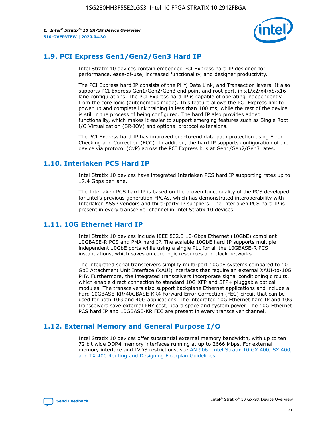

## **1.9. PCI Express Gen1/Gen2/Gen3 Hard IP**

Intel Stratix 10 devices contain embedded PCI Express hard IP designed for performance, ease-of-use, increased functionality, and designer productivity.

The PCI Express hard IP consists of the PHY, Data Link, and Transaction layers. It also supports PCI Express Gen1/Gen2/Gen3 end point and root port, in x1/x2/x4/x8/x16 lane configurations. The PCI Express hard IP is capable of operating independently from the core logic (autonomous mode). This feature allows the PCI Express link to power up and complete link training in less than 100 ms, while the rest of the device is still in the process of being configured. The hard IP also provides added functionality, which makes it easier to support emerging features such as Single Root I/O Virtualization (SR-IOV) and optional protocol extensions.

The PCI Express hard IP has improved end-to-end data path protection using Error Checking and Correction (ECC). In addition, the hard IP supports configuration of the device via protocol (CvP) across the PCI Express bus at Gen1/Gen2/Gen3 rates.

## **1.10. Interlaken PCS Hard IP**

Intel Stratix 10 devices have integrated Interlaken PCS hard IP supporting rates up to 17.4 Gbps per lane.

The Interlaken PCS hard IP is based on the proven functionality of the PCS developed for Intel's previous generation FPGAs, which has demonstrated interoperability with Interlaken ASSP vendors and third-party IP suppliers. The Interlaken PCS hard IP is present in every transceiver channel in Intel Stratix 10 devices.

## **1.11. 10G Ethernet Hard IP**

Intel Stratix 10 devices include IEEE 802.3 10-Gbps Ethernet (10GbE) compliant 10GBASE-R PCS and PMA hard IP. The scalable 10GbE hard IP supports multiple independent 10GbE ports while using a single PLL for all the 10GBASE-R PCS instantiations, which saves on core logic resources and clock networks.

The integrated serial transceivers simplify multi-port 10GbE systems compared to 10 GbE Attachment Unit Interface (XAUI) interfaces that require an external XAUI-to-10G PHY. Furthermore, the integrated transceivers incorporate signal conditioning circuits, which enable direct connection to standard 10G XFP and SFP+ pluggable optical modules. The transceivers also support backplane Ethernet applications and include a hard 10GBASE-KR/40GBASE-KR4 Forward Error Correction (FEC) circuit that can be used for both 10G and 40G applications. The integrated 10G Ethernet hard IP and 10G transceivers save external PHY cost, board space and system power. The 10G Ethernet PCS hard IP and 10GBASE-KR FEC are present in every transceiver channel.

## **1.12. External Memory and General Purpose I/O**

Intel Stratix 10 devices offer substantial external memory bandwidth, with up to ten 72 bit wide DDR4 memory interfaces running at up to 2666 Mbps. For external memory interface and LVDS restrictions, see [AN 906: Intel Stratix 10 GX 400, SX 400,](https://www.intel.com/content/www/us/en/programmable/documentation/sjf1574667190623.html#bft1574667627484) [and TX 400 Routing and Designing Floorplan Guidelines.](https://www.intel.com/content/www/us/en/programmable/documentation/sjf1574667190623.html#bft1574667627484)

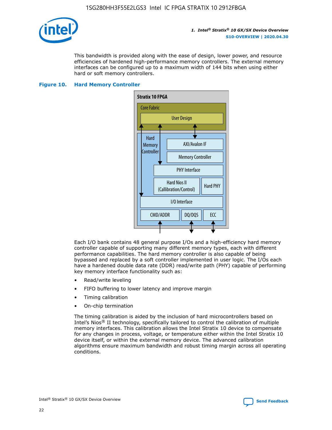

This bandwidth is provided along with the ease of design, lower power, and resource efficiencies of hardened high-performance memory controllers. The external memory interfaces can be configured up to a maximum width of 144 bits when using either hard or soft memory controllers.

#### **Figure 10. Hard Memory Controller**



Each I/O bank contains 48 general purpose I/Os and a high-efficiency hard memory controller capable of supporting many different memory types, each with different performance capabilities. The hard memory controller is also capable of being bypassed and replaced by a soft controller implemented in user logic. The I/Os each have a hardened double data rate (DDR) read/write path (PHY) capable of performing key memory interface functionality such as:

- Read/write leveling
- FIFO buffering to lower latency and improve margin
- Timing calibration
- On-chip termination

The timing calibration is aided by the inclusion of hard microcontrollers based on Intel's Nios® II technology, specifically tailored to control the calibration of multiple memory interfaces. This calibration allows the Intel Stratix 10 device to compensate for any changes in process, voltage, or temperature either within the Intel Stratix 10 device itself, or within the external memory device. The advanced calibration algorithms ensure maximum bandwidth and robust timing margin across all operating conditions.

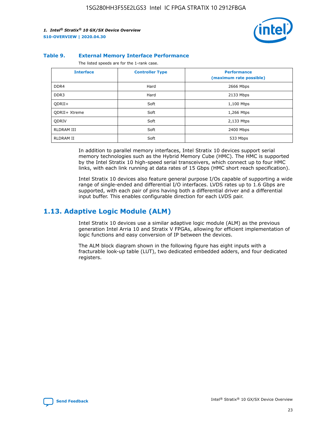

#### **Table 9. External Memory Interface Performance**

The listed speeds are for the 1-rank case.

| <b>Interface</b>     | <b>Controller Type</b> | <b>Performance</b><br>(maximum rate possible) |
|----------------------|------------------------|-----------------------------------------------|
| DDR4                 | Hard                   | 2666 Mbps                                     |
| DDR <sub>3</sub>     | Hard                   | 2133 Mbps                                     |
| QDRII+               | Soft                   | 1,100 Mtps                                    |
| <b>ODRII+ Xtreme</b> | Soft                   | 1,266 Mtps                                    |
| <b>ODRIV</b>         | Soft                   | 2,133 Mtps                                    |
| RLDRAM III           | Soft                   | 2400 Mbps                                     |
| <b>RLDRAM II</b>     | Soft                   | 533 Mbps                                      |

In addition to parallel memory interfaces, Intel Stratix 10 devices support serial memory technologies such as the Hybrid Memory Cube (HMC). The HMC is supported by the Intel Stratix 10 high-speed serial transceivers, which connect up to four HMC links, with each link running at data rates of 15 Gbps (HMC short reach specification).

Intel Stratix 10 devices also feature general purpose I/Os capable of supporting a wide range of single-ended and differential I/O interfaces. LVDS rates up to 1.6 Gbps are supported, with each pair of pins having both a differential driver and a differential input buffer. This enables configurable direction for each LVDS pair.

## **1.13. Adaptive Logic Module (ALM)**

Intel Stratix 10 devices use a similar adaptive logic module (ALM) as the previous generation Intel Arria 10 and Stratix V FPGAs, allowing for efficient implementation of logic functions and easy conversion of IP between the devices.

The ALM block diagram shown in the following figure has eight inputs with a fracturable look-up table (LUT), two dedicated embedded adders, and four dedicated registers.

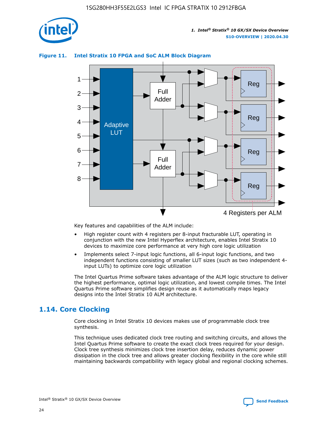

## **Figure 11. Intel Stratix 10 FPGA and SoC ALM Block Diagram**



Key features and capabilities of the ALM include:

- High register count with 4 registers per 8-input fracturable LUT, operating in conjunction with the new Intel Hyperflex architecture, enables Intel Stratix 10 devices to maximize core performance at very high core logic utilization
- Implements select 7-input logic functions, all 6-input logic functions, and two independent functions consisting of smaller LUT sizes (such as two independent 4 input LUTs) to optimize core logic utilization

The Intel Quartus Prime software takes advantage of the ALM logic structure to deliver the highest performance, optimal logic utilization, and lowest compile times. The Intel Quartus Prime software simplifies design reuse as it automatically maps legacy designs into the Intel Stratix 10 ALM architecture.

## **1.14. Core Clocking**

Core clocking in Intel Stratix 10 devices makes use of programmable clock tree synthesis.

This technique uses dedicated clock tree routing and switching circuits, and allows the Intel Quartus Prime software to create the exact clock trees required for your design. Clock tree synthesis minimizes clock tree insertion delay, reduces dynamic power dissipation in the clock tree and allows greater clocking flexibility in the core while still maintaining backwards compatibility with legacy global and regional clocking schemes.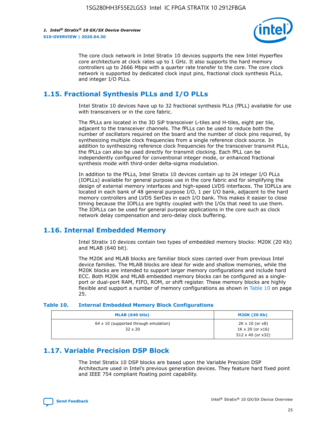

The core clock network in Intel Stratix 10 devices supports the new Intel Hyperflex core architecture at clock rates up to 1 GHz. It also supports the hard memory controllers up to 2666 Mbps with a quarter rate transfer to the core. The core clock network is supported by dedicated clock input pins, fractional clock synthesis PLLs, and integer I/O PLLs.

## **1.15. Fractional Synthesis PLLs and I/O PLLs**

Intel Stratix 10 devices have up to 32 fractional synthesis PLLs (fPLL) available for use with transceivers or in the core fabric.

The fPLLs are located in the 3D SiP transceiver L-tiles and H-tiles, eight per tile, adjacent to the transceiver channels. The fPLLs can be used to reduce both the number of oscillators required on the board and the number of clock pins required, by synthesizing multiple clock frequencies from a single reference clock source. In addition to synthesizing reference clock frequencies for the transceiver transmit PLLs, the fPLLs can also be used directly for transmit clocking. Each fPLL can be independently configured for conventional integer mode, or enhanced fractional synthesis mode with third-order delta-sigma modulation.

In addition to the fPLLs, Intel Stratix 10 devices contain up to 24 integer I/O PLLs (IOPLLs) available for general purpose use in the core fabric and for simplifying the design of external memory interfaces and high-speed LVDS interfaces. The IOPLLs are located in each bank of 48 general purpose I/O, 1 per I/O bank, adjacent to the hard memory controllers and LVDS SerDes in each I/O bank. This makes it easier to close timing because the IOPLLs are tightly coupled with the I/Os that need to use them. The IOPLLs can be used for general purpose applications in the core such as clock network delay compensation and zero-delay clock buffering.

## **1.16. Internal Embedded Memory**

Intel Stratix 10 devices contain two types of embedded memory blocks: M20K (20 Kb) and MLAB (640 bit).

The M20K and MLAB blocks are familiar block sizes carried over from previous Intel device families. The MLAB blocks are ideal for wide and shallow memories, while the M20K blocks are intended to support larger memory configurations and include hard ECC. Both M20K and MLAB embedded memory blocks can be configured as a singleport or dual-port RAM, FIFO, ROM, or shift register. These memory blocks are highly flexible and support a number of memory configurations as shown in Table 10 on page 25.

#### **Table 10. Internal Embedded Memory Block Configurations**

| MLAB (640 bits)                                                | <b>M20K (20 Kb)</b>                                                                    |
|----------------------------------------------------------------|----------------------------------------------------------------------------------------|
| $64 \times 10$ (supported through emulation)<br>$32 \times 20$ | $2K \times 10$ (or $x8$ )<br>$1K \times 20$ (or $x16$ )<br>$512 \times 40$ (or $x32$ ) |

## **1.17. Variable Precision DSP Block**

The Intel Stratix 10 DSP blocks are based upon the Variable Precision DSP Architecture used in Intel's previous generation devices. They feature hard fixed point and IEEE 754 compliant floating point capability.

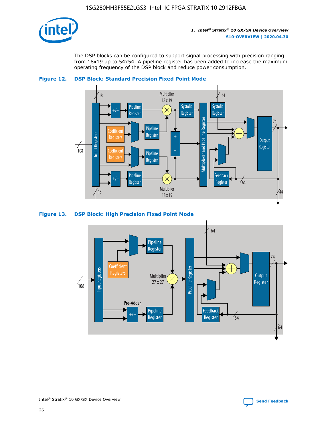

The DSP blocks can be configured to support signal processing with precision ranging from 18x19 up to 54x54. A pipeline register has been added to increase the maximum operating frequency of the DSP block and reduce power consumption.





#### **Figure 13. DSP Block: High Precision Fixed Point Mode**

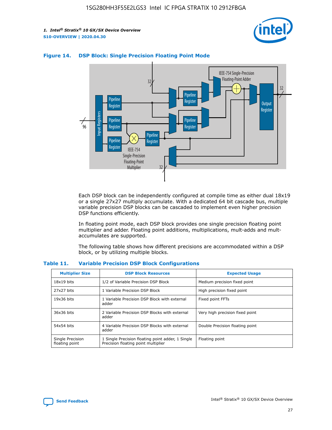



## **Figure 14. DSP Block: Single Precision Floating Point Mode**

Each DSP block can be independently configured at compile time as either dual 18x19 or a single 27x27 multiply accumulate. With a dedicated 64 bit cascade bus, multiple variable precision DSP blocks can be cascaded to implement even higher precision DSP functions efficiently.

In floating point mode, each DSP block provides one single precision floating point multiplier and adder. Floating point additions, multiplications, mult-adds and multaccumulates are supported.

The following table shows how different precisions are accommodated within a DSP block, or by utilizing multiple blocks.

| <b>Multiplier Size</b>             | <b>DSP Block Resources</b>                                                               | <b>Expected Usage</b>           |
|------------------------------------|------------------------------------------------------------------------------------------|---------------------------------|
| $18x19$ bits                       | 1/2 of Variable Precision DSP Block                                                      | Medium precision fixed point    |
| 27x27 bits                         | 1 Variable Precision DSP Block                                                           | High precision fixed point      |
| $19x36$ bits                       | 1 Variable Precision DSP Block with external<br>adder                                    | Fixed point FFTs                |
| 36x36 bits                         | 2 Variable Precision DSP Blocks with external<br>adder                                   | Very high precision fixed point |
| 54x54 bits                         | 4 Variable Precision DSP Blocks with external<br>adder                                   | Double Precision floating point |
| Single Precision<br>floating point | 1 Single Precision floating point adder, 1 Single<br>Precision floating point multiplier | Floating point                  |

#### **Table 11. Variable Precision DSP Block Configurations**

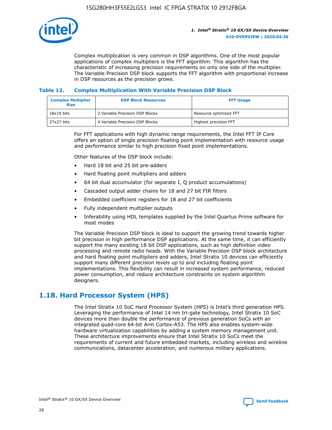

Complex multiplication is very common in DSP algorithms. One of the most popular applications of complex multipliers is the FFT algorithm. This algorithm has the characteristic of increasing precision requirements on only one side of the multiplier. The Variable Precision DSP block supports the FFT algorithm with proportional increase in DSP resources as the precision grows.

## **Table 12. Complex Multiplication With Variable Precision DSP Block**

| <b>Complex Multiplier</b><br><b>Size</b> | <b>DSP Block Resources</b>      | <b>FFT Usage</b>       |
|------------------------------------------|---------------------------------|------------------------|
| $18x19$ bits                             | 2 Variable Precision DSP Blocks | Resource optimized FFT |
| 27x27 bits                               | 4 Variable Precision DSP Blocks | Highest precision FFT  |

For FFT applications with high dynamic range requirements, the Intel FFT IP Core offers an option of single precision floating point implementation with resource usage and performance similar to high precision fixed point implementations.

Other features of the DSP block include:

- Hard 18 bit and 25 bit pre-adders
- Hard floating point multipliers and adders
- 64 bit dual accumulator (for separate I, Q product accumulations)
- Cascaded output adder chains for 18 and 27 bit FIR filters
- Embedded coefficient registers for 18 and 27 bit coefficients
- Fully independent multiplier outputs
- Inferability using HDL templates supplied by the Intel Quartus Prime software for most modes

The Variable Precision DSP block is ideal to support the growing trend towards higher bit precision in high performance DSP applications. At the same time, it can efficiently support the many existing 18 bit DSP applications, such as high definition video processing and remote radio heads. With the Variable Precision DSP block architecture and hard floating point multipliers and adders, Intel Stratix 10 devices can efficiently support many different precision levels up to and including floating point implementations. This flexibility can result in increased system performance, reduced power consumption, and reduce architecture constraints on system algorithm designers.

## **1.18. Hard Processor System (HPS)**

The Intel Stratix 10 SoC Hard Processor System (HPS) is Intel's third generation HPS. Leveraging the performance of Intel 14 nm tri-gate technology, Intel Stratix 10 SoC devices more than double the performance of previous generation SoCs with an integrated quad-core 64-bit Arm Cortex-A53. The HPS also enables system-wide hardware virtualization capabilities by adding a system memory management unit. These architecture improvements ensure that Intel Stratix 10 SoCs meet the requirements of current and future embedded markets, including wireless and wireline communications, datacenter acceleration, and numerous military applications.

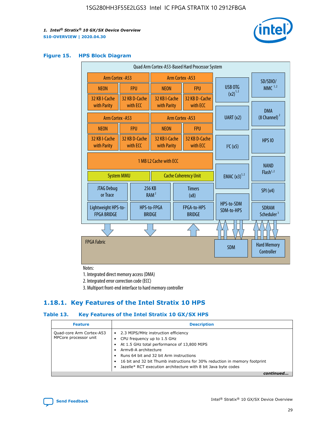

#### **Figure 15. HPS Block Diagram**

| Quad Arm Cortex-A53-Based Hard Processor System |                                             |                                                       |                                           |                          |                                     |                          |                                        |
|-------------------------------------------------|---------------------------------------------|-------------------------------------------------------|-------------------------------------------|--------------------------|-------------------------------------|--------------------------|----------------------------------------|
|                                                 | <b>Arm Cortex - A53</b><br>Arm Cortex - A53 |                                                       |                                           |                          |                                     | SD/SDIO/                 |                                        |
| <b>NEON</b>                                     |                                             | <b>FPU</b>                                            | <b>NEON</b>                               |                          | <b>FPU</b>                          | USB OTG                  | $MMC$ <sup>1,2</sup>                   |
| 32 KB I-Cache<br>with Parity                    |                                             | 32 KB D-Cache<br>with ECC                             | 32 KB I-Cache<br>with Parity              |                          | 32 KB D - Cache<br>with ECC         | $(x2)^{1,2}$             |                                        |
|                                                 |                                             |                                                       |                                           |                          |                                     | UART (x2)                | <b>DMA</b><br>$(8 \text{ Channel})^2$  |
| Arm Cortex - A53                                |                                             |                                                       |                                           |                          | Arm Cortex - A53                    |                          |                                        |
| <b>NEON</b>                                     |                                             | <b>FPU</b>                                            | <b>NEON</b>                               |                          | <b>FPU</b>                          |                          |                                        |
| 32 KB I-Cache<br>with Parity                    |                                             | 32 KB D-Cache<br>with ECC                             | 32 KB I-Cache<br>with Parity              |                          | 32 KB D-Cache<br>with ECC           | I <sup>2</sup> C(x5)     | <b>HPS 10</b>                          |
| <b>System MMU</b>                               |                                             | 1 MB L2 Cache with ECC<br><b>Cache Coherency Unit</b> |                                           | <b>EMAC</b> $(x3)^{1,2}$ | <b>NAND</b><br>Flash <sup>1,2</sup> |                          |                                        |
| JTAG Debug<br>or Trace                          |                                             | 256 KB                                                | <b>Timers</b><br>RAM <sup>2</sup><br>(x8) |                          |                                     | SPI(x4)                  |                                        |
| Lightweight HPS-to-<br><b>FPGA BRIDGE</b>       |                                             |                                                       | HPS-to-FPGA<br><b>BRIDGE</b>              |                          | FPGA-to-HPS<br><b>BRIDGE</b>        | HPS-to-SDM<br>SDM-to-HPS | <b>SDRAM</b><br>Scheduler <sup>3</sup> |
|                                                 |                                             |                                                       |                                           |                          |                                     |                          |                                        |
| <b>FPGA Fabric</b>                              |                                             |                                                       |                                           |                          |                                     | <b>SDM</b>               | <b>Hard Memory</b><br>Controller       |

Notes:

1. Integrated direct memory access (DMA)

2. Integrated error correction code (ECC)

3. Multiport front-end interface to hard memory controller

## **1.18.1. Key Features of the Intel Stratix 10 HPS**

## **Table 13. Key Features of the Intel Stratix 10 GX/SX HPS**

| <b>Feature</b>                                    | <b>Description</b>                                                                                                                                                                                                                                                                                                                                     |
|---------------------------------------------------|--------------------------------------------------------------------------------------------------------------------------------------------------------------------------------------------------------------------------------------------------------------------------------------------------------------------------------------------------------|
| Quad-core Arm Cortex-A53<br>MPCore processor unit | 2.3 MIPS/MHz instruction efficiency<br>$\bullet$<br>CPU frequency up to 1.5 GHz<br>٠<br>At 1.5 GHz total performance of 13,800 MIPS<br>Army8-A architecture<br>Runs 64 bit and 32 bit Arm instructions<br>16 bit and 32 bit Thumb instructions for 30% reduction in memory footprint<br>Jazelle* RCT execution architecture with 8 bit Java byte codes |
|                                                   |                                                                                                                                                                                                                                                                                                                                                        |

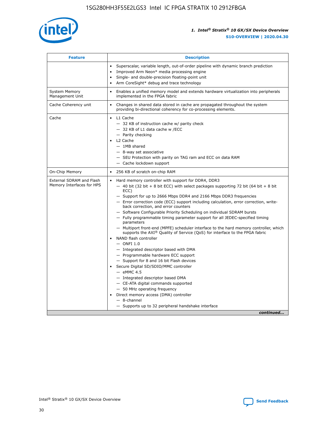

| <b>Feature</b>                                        | <b>Description</b>                                                                                                                                                                                                                                                                                                                                                                                                                                                                                                                                                                                                                                                                                                                                                                                                                                                                                                                                                                                                                                                                                                                                                                                               |  |
|-------------------------------------------------------|------------------------------------------------------------------------------------------------------------------------------------------------------------------------------------------------------------------------------------------------------------------------------------------------------------------------------------------------------------------------------------------------------------------------------------------------------------------------------------------------------------------------------------------------------------------------------------------------------------------------------------------------------------------------------------------------------------------------------------------------------------------------------------------------------------------------------------------------------------------------------------------------------------------------------------------------------------------------------------------------------------------------------------------------------------------------------------------------------------------------------------------------------------------------------------------------------------------|--|
|                                                       | Superscalar, variable length, out-of-order pipeline with dynamic branch prediction<br>Improved Arm Neon* media processing engine<br>Single- and double-precision floating-point unit<br>Arm CoreSight* debug and trace technology<br>$\bullet$                                                                                                                                                                                                                                                                                                                                                                                                                                                                                                                                                                                                                                                                                                                                                                                                                                                                                                                                                                   |  |
| <b>System Memory</b><br>Management Unit               | Enables a unified memory model and extends hardware virtualization into peripherals<br>implemented in the FPGA fabric                                                                                                                                                                                                                                                                                                                                                                                                                                                                                                                                                                                                                                                                                                                                                                                                                                                                                                                                                                                                                                                                                            |  |
| Cache Coherency unit                                  | Changes in shared data stored in cache are propagated throughout the system<br>$\bullet$<br>providing bi-directional coherency for co-processing elements.                                                                                                                                                                                                                                                                                                                                                                                                                                                                                                                                                                                                                                                                                                                                                                                                                                                                                                                                                                                                                                                       |  |
| Cache                                                 | L1 Cache<br>$\bullet$<br>- 32 KB of instruction cache w/ parity check<br>- 32 KB of L1 data cache w /ECC<br>- Parity checking<br>L <sub>2</sub> Cache<br>$-$ 1MB shared<br>$-$ 8-way set associative<br>- SEU Protection with parity on TAG ram and ECC on data RAM<br>- Cache lockdown support                                                                                                                                                                                                                                                                                                                                                                                                                                                                                                                                                                                                                                                                                                                                                                                                                                                                                                                  |  |
| On-Chip Memory                                        | 256 KB of scratch on-chip RAM                                                                                                                                                                                                                                                                                                                                                                                                                                                                                                                                                                                                                                                                                                                                                                                                                                                                                                                                                                                                                                                                                                                                                                                    |  |
| External SDRAM and Flash<br>Memory Interfaces for HPS | Hard memory controller with support for DDR4, DDR3<br>$\bullet$<br>$-$ 40 bit (32 bit + 8 bit ECC) with select packages supporting 72 bit (64 bit + 8 bit<br>ECC)<br>- Support for up to 2666 Mbps DDR4 and 2166 Mbps DDR3 frequencies<br>- Error correction code (ECC) support including calculation, error correction, write-<br>back correction, and error counters<br>- Software Configurable Priority Scheduling on individual SDRAM bursts<br>- Fully programmable timing parameter support for all JEDEC-specified timing<br>parameters<br>- Multiport front-end (MPFE) scheduler interface to the hard memory controller, which<br>supports the $AXI^{\circledR}$ Quality of Service (QoS) for interface to the FPGA fabric<br>NAND flash controller<br>$-$ ONFI 1.0<br>- Integrated descriptor based with DMA<br>- Programmable hardware ECC support<br>- Support for 8 and 16 bit Flash devices<br>Secure Digital SD/SDIO/MMC controller<br>$-$ eMMC 4.5<br>- Integrated descriptor based DMA<br>- CE-ATA digital commands supported<br>- 50 MHz operating frequency<br>Direct memory access (DMA) controller<br>٠<br>$-$ 8-channel<br>- Supports up to 32 peripheral handshake interface<br>continued |  |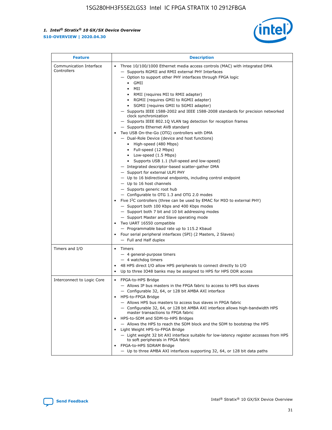

| <b>Feature</b>                         | <b>Description</b>                                                                                                                                                                                                                                                                                                                                                                                                                                                                                                                                                                                                                                                                                                                                                                                                                                                                                                                                                                                                                                                                                                                                                                                                                                                                                                                                                                                                                                                                                                     |
|----------------------------------------|------------------------------------------------------------------------------------------------------------------------------------------------------------------------------------------------------------------------------------------------------------------------------------------------------------------------------------------------------------------------------------------------------------------------------------------------------------------------------------------------------------------------------------------------------------------------------------------------------------------------------------------------------------------------------------------------------------------------------------------------------------------------------------------------------------------------------------------------------------------------------------------------------------------------------------------------------------------------------------------------------------------------------------------------------------------------------------------------------------------------------------------------------------------------------------------------------------------------------------------------------------------------------------------------------------------------------------------------------------------------------------------------------------------------------------------------------------------------------------------------------------------------|
| Communication Interface<br>Controllers | Three 10/100/1000 Ethernet media access controls (MAC) with integrated DMA<br>$\bullet$<br>- Supports RGMII and RMII external PHY Interfaces<br>- Option to support other PHY interfaces through FPGA logic<br>$\bullet$ GMII<br>MII<br>$\bullet$<br>RMII (requires MII to RMII adapter)<br>$\bullet$<br>• RGMII (requires GMII to RGMII adapter)<br>SGMII (requires GMII to SGMII adapter)<br>- Supports IEEE 1588-2002 and IEEE 1588-2008 standards for precision networked<br>clock synchronization<br>- Supports IEEE 802.1Q VLAN tag detection for reception frames<br>- Supports Ethernet AVB standard<br>Two USB On-the-Go (OTG) controllers with DMA<br>- Dual-Role Device (device and host functions)<br>• High-speed (480 Mbps)<br>• Full-speed (12 Mbps)<br>• Low-speed (1.5 Mbps)<br>• Supports USB 1.1 (full-speed and low-speed)<br>- Integrated descriptor-based scatter-gather DMA<br>- Support for external ULPI PHY<br>- Up to 16 bidirectional endpoints, including control endpoint<br>$-$ Up to 16 host channels<br>- Supports generic root hub<br>- Configurable to OTG 1.3 and OTG 2.0 modes<br>Five $I2C$ controllers (three can be used by EMAC for MIO to external PHY)<br>- Support both 100 Kbps and 400 Kbps modes<br>- Support both 7 bit and 10 bit addressing modes<br>- Support Master and Slave operating mode<br>Two UART 16550 compatible<br>- Programmable baud rate up to 115.2 Kbaud<br>Four serial peripheral interfaces (SPI) (2 Masters, 2 Slaves)<br>- Full and Half duplex |
| Timers and I/O                         | Timers<br>$\bullet$<br>- 4 general-purpose timers<br>$-4$ watchdog timers<br>48 HPS direct I/O allow HPS peripherals to connect directly to I/O<br>Up to three IO48 banks may be assigned to HPS for HPS DDR access                                                                                                                                                                                                                                                                                                                                                                                                                                                                                                                                                                                                                                                                                                                                                                                                                                                                                                                                                                                                                                                                                                                                                                                                                                                                                                    |
| Interconnect to Logic Core             | • FPGA-to-HPS Bridge<br>- Allows IP bus masters in the FPGA fabric to access to HPS bus slaves<br>- Configurable 32, 64, or 128 bit AMBA AXI interface<br>HPS-to-FPGA Bridge<br>- Allows HPS bus masters to access bus slaves in FPGA fabric<br>- Configurable 32, 64, or 128 bit AMBA AXI interface allows high-bandwidth HPS<br>master transactions to FPGA fabric<br>HPS-to-SDM and SDM-to-HPS Bridges<br>- Allows the HPS to reach the SDM block and the SDM to bootstrap the HPS<br>Light Weight HPS-to-FPGA Bridge<br>- Light weight 32 bit AXI interface suitable for low-latency register accesses from HPS<br>to soft peripherals in FPGA fabric<br>FPGA-to-HPS SDRAM Bridge<br>- Up to three AMBA AXI interfaces supporting 32, 64, or 128 bit data paths                                                                                                                                                                                                                                                                                                                                                                                                                                                                                                                                                                                                                                                                                                                                                    |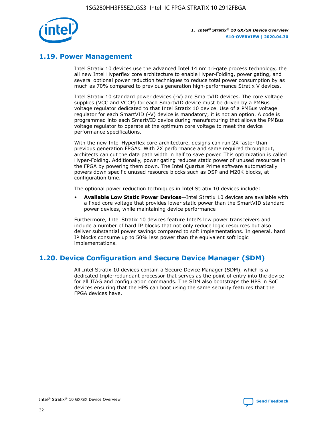

## **1.19. Power Management**

Intel Stratix 10 devices use the advanced Intel 14 nm tri-gate process technology, the all new Intel Hyperflex core architecture to enable Hyper-Folding, power gating, and several optional power reduction techniques to reduce total power consumption by as much as 70% compared to previous generation high-performance Stratix V devices.

Intel Stratix 10 standard power devices (-V) are SmartVID devices. The core voltage supplies (VCC and VCCP) for each SmartVID device must be driven by a PMBus voltage regulator dedicated to that Intel Stratix 10 device. Use of a PMBus voltage regulator for each SmartVID (-V) device is mandatory; it is not an option. A code is programmed into each SmartVID device during manufacturing that allows the PMBus voltage regulator to operate at the optimum core voltage to meet the device performance specifications.

With the new Intel Hyperflex core architecture, designs can run 2X faster than previous generation FPGAs. With 2X performance and same required throughput, architects can cut the data path width in half to save power. This optimization is called Hyper-Folding. Additionally, power gating reduces static power of unused resources in the FPGA by powering them down. The Intel Quartus Prime software automatically powers down specific unused resource blocks such as DSP and M20K blocks, at configuration time.

The optional power reduction techniques in Intel Stratix 10 devices include:

• **Available Low Static Power Devices**—Intel Stratix 10 devices are available with a fixed core voltage that provides lower static power than the SmartVID standard power devices, while maintaining device performance

Furthermore, Intel Stratix 10 devices feature Intel's low power transceivers and include a number of hard IP blocks that not only reduce logic resources but also deliver substantial power savings compared to soft implementations. In general, hard IP blocks consume up to 50% less power than the equivalent soft logic implementations.

## **1.20. Device Configuration and Secure Device Manager (SDM)**

All Intel Stratix 10 devices contain a Secure Device Manager (SDM), which is a dedicated triple-redundant processor that serves as the point of entry into the device for all JTAG and configuration commands. The SDM also bootstraps the HPS in SoC devices ensuring that the HPS can boot using the same security features that the FPGA devices have.

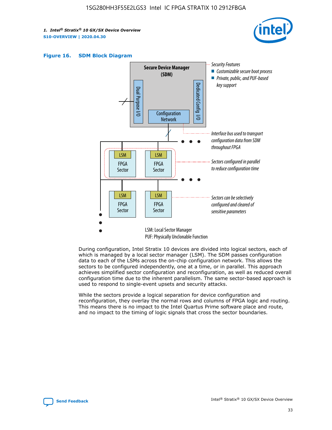





During configuration, Intel Stratix 10 devices are divided into logical sectors, each of which is managed by a local sector manager (LSM). The SDM passes configuration data to each of the LSMs across the on-chip configuration network. This allows the sectors to be configured independently, one at a time, or in parallel. This approach achieves simplified sector configuration and reconfiguration, as well as reduced overall configuration time due to the inherent parallelism. The same sector-based approach is used to respond to single-event upsets and security attacks.

While the sectors provide a logical separation for device configuration and reconfiguration, they overlay the normal rows and columns of FPGA logic and routing. This means there is no impact to the Intel Quartus Prime software place and route, and no impact to the timing of logic signals that cross the sector boundaries.

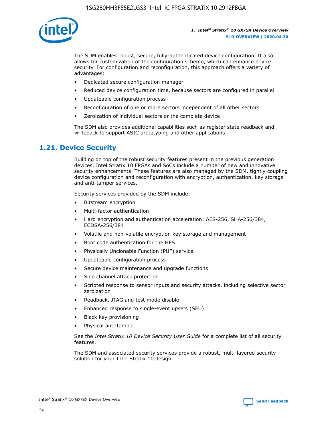

The SDM enables robust, secure, fully-authenticated device configuration. It also allows for customization of the configuration scheme, which can enhance device security. For configuration and reconfiguration, this approach offers a variety of advantages:

- Dedicated secure configuration manager
- Reduced device configuration time, because sectors are configured in parallel
- Updateable configuration process
- Reconfiguration of one or more sectors independent of all other sectors
- Zeroization of individual sectors or the complete device

The SDM also provides additional capabilities such as register state readback and writeback to support ASIC prototyping and other applications.

## **1.21. Device Security**

Building on top of the robust security features present in the previous generation devices, Intel Stratix 10 FPGAs and SoCs include a number of new and innovative security enhancements. These features are also managed by the SDM, tightly coupling device configuration and reconfiguration with encryption, authentication, key storage and anti-tamper services.

Security services provided by the SDM include:

- Bitstream encryption
- Multi-factor authentication
- Hard encryption and authentication acceleration; AES-256, SHA-256/384, ECDSA-256/384
- Volatile and non-volatile encryption key storage and management
- Boot code authentication for the HPS
- Physically Unclonable Function (PUF) service
- Updateable configuration process
- Secure device maintenance and upgrade functions
- Side channel attack protection
- Scripted response to sensor inputs and security attacks, including selective sector zeroization
- Readback, JTAG and test mode disable
- Enhanced response to single-event upsets (SEU)
- Black key provisioning
- Physical anti-tamper

See the *Intel Stratix 10 Device Security User Guide* for a complete list of all security features.

The SDM and associated security services provide a robust, multi-layered security solution for your Intel Stratix 10 design.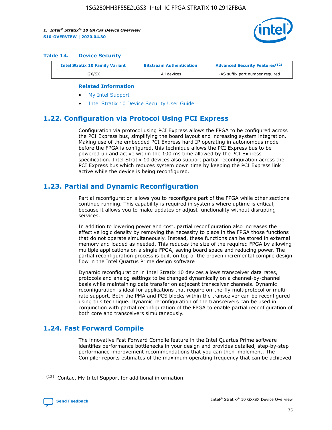

#### **Table 14. Device Security**

| <b>Intel Stratix 10 Family Variant</b> | <b>Bitstream Authentication</b> | <b>Advanced Security Features</b> <sup>(12)</sup> |
|----------------------------------------|---------------------------------|---------------------------------------------------|
| GX/SX                                  | All devices                     | -AS suffix part number required                   |

#### **Related Information**

- [My Intel Support](https://www.intel.com/content/www/us/en/programmable/my-intel/mal-home.html)
- [Intel Stratix 10 Device Security User Guide](https://www.intel.com/content/www/us/en/programmable/documentation/ndq1483601370898.html#wcd1483611014402)

## **1.22. Configuration via Protocol Using PCI Express**

Configuration via protocol using PCI Express allows the FPGA to be configured across the PCI Express bus, simplifying the board layout and increasing system integration. Making use of the embedded PCI Express hard IP operating in autonomous mode before the FPGA is configured, this technique allows the PCI Express bus to be powered up and active within the 100 ms time allowed by the PCI Express specification. Intel Stratix 10 devices also support partial reconfiguration across the PCI Express bus which reduces system down time by keeping the PCI Express link active while the device is being reconfigured.

## **1.23. Partial and Dynamic Reconfiguration**

Partial reconfiguration allows you to reconfigure part of the FPGA while other sections continue running. This capability is required in systems where uptime is critical, because it allows you to make updates or adjust functionality without disrupting services.

In addition to lowering power and cost, partial reconfiguration also increases the effective logic density by removing the necessity to place in the FPGA those functions that do not operate simultaneously. Instead, these functions can be stored in external memory and loaded as needed. This reduces the size of the required FPGA by allowing multiple applications on a single FPGA, saving board space and reducing power. The partial reconfiguration process is built on top of the proven incremental compile design flow in the Intel Quartus Prime design software

Dynamic reconfiguration in Intel Stratix 10 devices allows transceiver data rates, protocols and analog settings to be changed dynamically on a channel-by-channel basis while maintaining data transfer on adjacent transceiver channels. Dynamic reconfiguration is ideal for applications that require on-the-fly multiprotocol or multirate support. Both the PMA and PCS blocks within the transceiver can be reconfigured using this technique. Dynamic reconfiguration of the transceivers can be used in conjunction with partial reconfiguration of the FPGA to enable partial reconfiguration of both core and transceivers simultaneously.

## **1.24. Fast Forward Compile**

The innovative Fast Forward Compile feature in the Intel Quartus Prime software identifies performance bottlenecks in your design and provides detailed, step-by-step performance improvement recommendations that you can then implement. The Compiler reports estimates of the maximum operating frequency that can be achieved

<sup>(12)</sup> Contact My Intel Support for additional information.

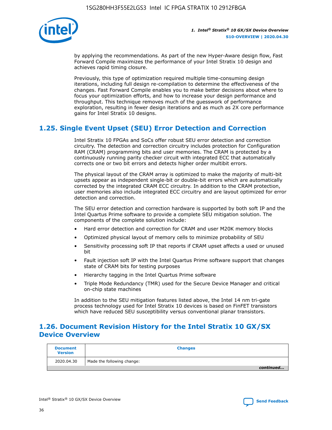

by applying the recommendations. As part of the new Hyper-Aware design flow, Fast Forward Compile maximizes the performance of your Intel Stratix 10 design and achieves rapid timing closure.

Previously, this type of optimization required multiple time-consuming design iterations, including full design re-compilation to determine the effectiveness of the changes. Fast Forward Compile enables you to make better decisions about where to focus your optimization efforts, and how to increase your design performance and throughput. This technique removes much of the guesswork of performance exploration, resulting in fewer design iterations and as much as 2X core performance gains for Intel Stratix 10 designs.

## **1.25. Single Event Upset (SEU) Error Detection and Correction**

Intel Stratix 10 FPGAs and SoCs offer robust SEU error detection and correction circuitry. The detection and correction circuitry includes protection for Configuration RAM (CRAM) programming bits and user memories. The CRAM is protected by a continuously running parity checker circuit with integrated ECC that automatically corrects one or two bit errors and detects higher order multibit errors.

The physical layout of the CRAM array is optimized to make the majority of multi-bit upsets appear as independent single-bit or double-bit errors which are automatically corrected by the integrated CRAM ECC circuitry. In addition to the CRAM protection, user memories also include integrated ECC circuitry and are layout optimized for error detection and correction.

The SEU error detection and correction hardware is supported by both soft IP and the Intel Quartus Prime software to provide a complete SEU mitigation solution. The components of the complete solution include:

- Hard error detection and correction for CRAM and user M20K memory blocks
- Optimized physical layout of memory cells to minimize probability of SEU
- Sensitivity processing soft IP that reports if CRAM upset affects a used or unused bit
- Fault injection soft IP with the Intel Quartus Prime software support that changes state of CRAM bits for testing purposes
- Hierarchy tagging in the Intel Quartus Prime software
- Triple Mode Redundancy (TMR) used for the Secure Device Manager and critical on-chip state machines

In addition to the SEU mitigation features listed above, the Intel 14 nm tri-gate process technology used for Intel Stratix 10 devices is based on FinFET transistors which have reduced SEU susceptibility versus conventional planar transistors.

## **1.26. Document Revision History for the Intel Stratix 10 GX/SX Device Overview**

| <b>Document</b><br><b>Version</b> | <b>Changes</b>             |
|-----------------------------------|----------------------------|
| 2020.04.30                        | Made the following change: |
|                                   | continued                  |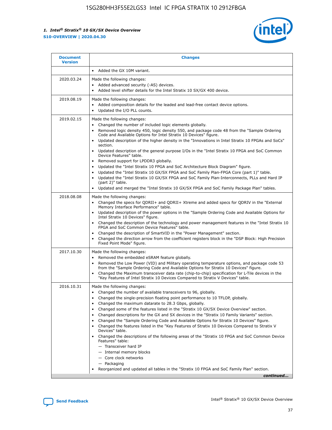

| <b>Document</b><br><b>Version</b> | <b>Changes</b>                                                                                                                                                                                                                                                                                                                                                                                                                                                                                                                                                                                                                                                                                                                                                                                                                                                                                                                                                                                 |
|-----------------------------------|------------------------------------------------------------------------------------------------------------------------------------------------------------------------------------------------------------------------------------------------------------------------------------------------------------------------------------------------------------------------------------------------------------------------------------------------------------------------------------------------------------------------------------------------------------------------------------------------------------------------------------------------------------------------------------------------------------------------------------------------------------------------------------------------------------------------------------------------------------------------------------------------------------------------------------------------------------------------------------------------|
|                                   | Added the GX 10M variant.                                                                                                                                                                                                                                                                                                                                                                                                                                                                                                                                                                                                                                                                                                                                                                                                                                                                                                                                                                      |
| 2020.03.24                        | Made the following changes:<br>Added advanced security (-AS) devices.<br>Added level shifter details for the Intel Stratix 10 SX/GX 400 device.                                                                                                                                                                                                                                                                                                                                                                                                                                                                                                                                                                                                                                                                                                                                                                                                                                                |
| 2019.08.19                        | Made the following changes:<br>Added composition details for the leaded and lead-free contact device options.<br>Updated the I/O PLL counts.                                                                                                                                                                                                                                                                                                                                                                                                                                                                                                                                                                                                                                                                                                                                                                                                                                                   |
| 2019.02.15                        | Made the following changes:<br>Changed the number of included logic elements globally.<br>Removed logic density 450, logic density 550, and package code 48 from the "Sample Ordering<br>$\bullet$<br>Code and Available Options for Intel Stratix 10 Devices" figure.<br>Updated description of the higher density in the "Innovations in Intel Stratix 10 FPGAs and SoCs"<br>section.<br>Updated description of the general purpose I/Os in the "Intel Stratix 10 FPGA and SoC Common<br>$\bullet$<br>Device Features" table.<br>Removed support for LPDDR3 globally.<br>Updated the "Intel Stratix 10 FPGA and SoC Architecture Block Diagram" figure.<br>$\bullet$<br>Updated the "Intel Stratix 10 GX/SX FPGA and SoC Family Plan-FPGA Core (part 1)" table.<br>$\bullet$<br>Updated the "Intel Stratix 10 GX/SX FPGA and SoC Family Plan-Interconnects, PLLs and Hard IP<br>(part 2)" table.<br>Updated and merged the "Intel Stratix 10 GX/SX FPGA and SoC Family Package Plan" tables. |
| 2018.08.08                        | Made the following changes:<br>Changed the specs for QDRII+ and QDRII+ Xtreme and added specs for QDRIV in the "External<br>$\bullet$<br>Memory Interface Performance" table.<br>Updated description of the power options in the "Sample Ordering Code and Available Options for<br>Intel Stratix 10 Devices" figure.<br>Changed the description of the technology and power management features in the "Intel Stratix 10<br>FPGA and SoC Common Device Features" table.<br>Changed the description of SmartVID in the "Power Management" section.<br>Changed the direction arrow from the coefficient registers block in the "DSP Block: High Precision<br>$\bullet$<br>Fixed Point Mode" figure.                                                                                                                                                                                                                                                                                             |
| 2017.10.30                        | Made the following changes:<br>Removed the embedded eSRAM feature globally.<br>$\bullet$<br>Removed the Low Power (VID) and Military operating temperature options, and package code 53<br>from the "Sample Ordering Code and Available Options for Stratix 10 Devices" figure.<br>Changed the Maximum transceiver data rate (chip-to-chip) specification for L-Tile devices in the<br>"Key Features of Intel Stratix 10 Devices Compared to Stratix V Devices" table.                                                                                                                                                                                                                                                                                                                                                                                                                                                                                                                         |
| 2016.10.31                        | Made the following changes:<br>Changed the number of available transceivers to 96, globally.<br>Changed the single-precision floating point performance to 10 TFLOP, globally.<br>Changed the maximum datarate to 28.3 Gbps, globally.<br>٠<br>Changed some of the features listed in the "Stratix 10 GX/SX Device Overview" section.<br>٠<br>Changed descriptions for the GX and SX devices in the "Stratix 10 Family Variants" section.<br>٠<br>Changed the "Sample Ordering Code and Available Options for Stratix 10 Devices" figure.<br>٠<br>Changed the features listed in the "Key Features of Stratix 10 Devices Compared to Stratix V<br>Devices" table.<br>Changed the descriptions of the following areas of the "Stratix 10 FPGA and SoC Common Device<br>Features" table:<br>- Transceiver hard IP<br>- Internal memory blocks<br>- Core clock networks<br>- Packaging<br>Reorganized and updated all tables in the "Stratix 10 FPGA and SoC Family Plan" section.                |
|                                   | continued                                                                                                                                                                                                                                                                                                                                                                                                                                                                                                                                                                                                                                                                                                                                                                                                                                                                                                                                                                                      |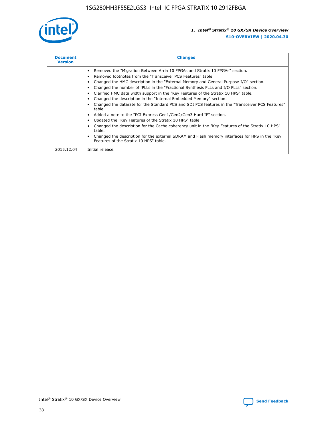

| <b>Document</b><br><b>Version</b> | <b>Changes</b>                                                                                                                                                                                                                                                                                                                                                                                                                                                                                                                                                                                                                                                                                                                                                                                                                                                                                                                                                                                      |
|-----------------------------------|-----------------------------------------------------------------------------------------------------------------------------------------------------------------------------------------------------------------------------------------------------------------------------------------------------------------------------------------------------------------------------------------------------------------------------------------------------------------------------------------------------------------------------------------------------------------------------------------------------------------------------------------------------------------------------------------------------------------------------------------------------------------------------------------------------------------------------------------------------------------------------------------------------------------------------------------------------------------------------------------------------|
|                                   | Removed the "Migration Between Arria 10 FPGAs and Stratix 10 FPGAs" section.<br>Removed footnotes from the "Transceiver PCS Features" table.<br>Changed the HMC description in the "External Memory and General Purpose I/O" section.<br>Changed the number of fPLLs in the "Fractional Synthesis PLLs and I/O PLLs" section.<br>Clarified HMC data width support in the "Key Features of the Stratix 10 HPS" table.<br>Changed the description in the "Internal Embedded Memory" section.<br>Changed the datarate for the Standard PCS and SDI PCS features in the "Transceiver PCS Features"<br>table.<br>Added a note to the "PCI Express Gen1/Gen2/Gen3 Hard IP" section.<br>Updated the "Key Features of the Stratix 10 HPS" table.<br>Changed the description for the Cache coherency unit in the "Key Features of the Stratix 10 HPS"<br>table.<br>Changed the description for the external SDRAM and Flash memory interfaces for HPS in the "Key"<br>Features of the Stratix 10 HPS" table. |
| 2015.12.04                        | Initial release.                                                                                                                                                                                                                                                                                                                                                                                                                                                                                                                                                                                                                                                                                                                                                                                                                                                                                                                                                                                    |